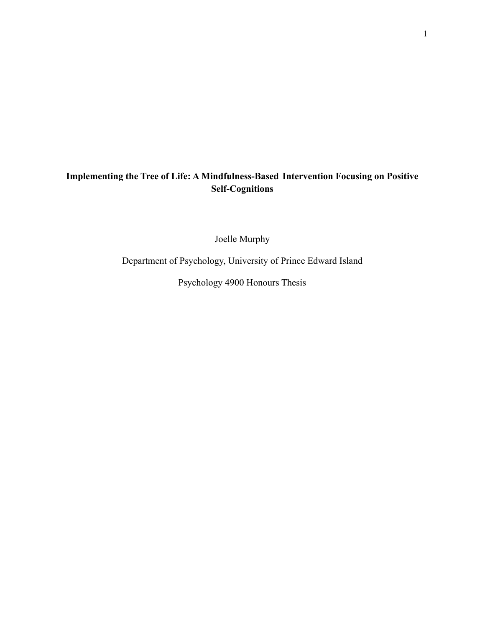# **Implementing the Tree of Life: A Mindfulness-Based Intervention Focusing on Positive Self-Cognitions**

Joelle Murphy

Department of Psychology, University of Prince Edward Island

Psychology 4900 Honours Thesis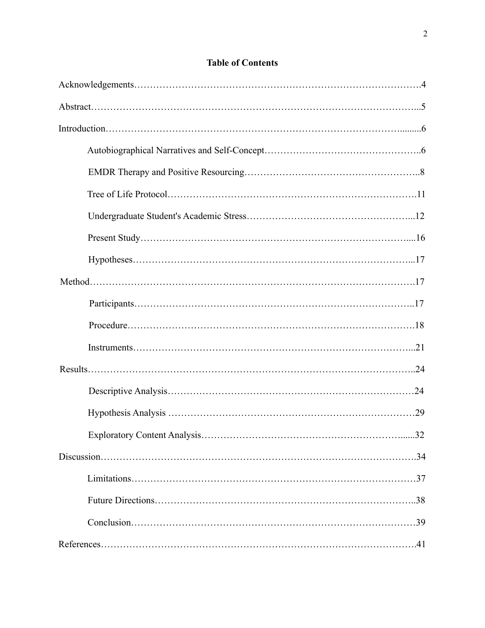# **Table of Contents**

| 32 |
|----|
|    |
|    |
|    |
|    |
|    |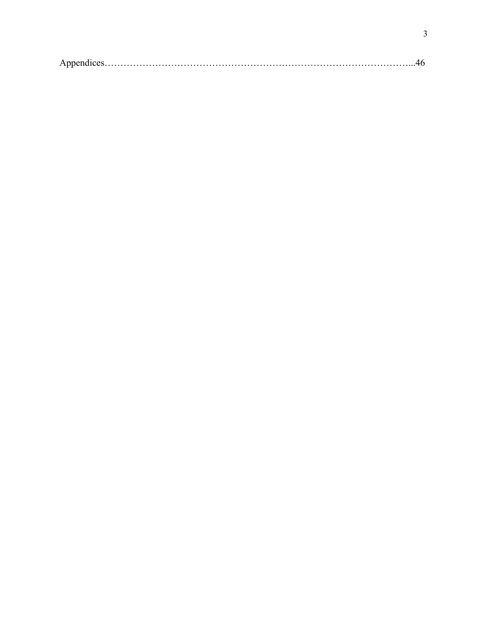|--|--|--|--|--|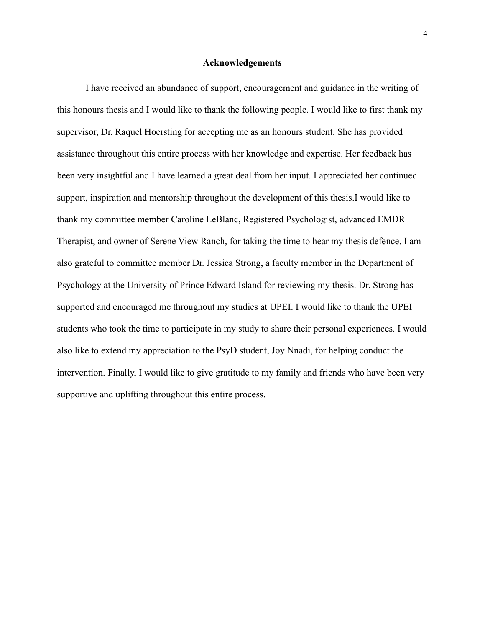#### **Acknowledgements**

I have received an abundance of support, encouragement and guidance in the writing of this honours thesis and I would like to thank the following people. I would like to first thank my supervisor, Dr. Raquel Hoersting for accepting me as an honours student. She has provided assistance throughout this entire process with her knowledge and expertise. Her feedback has been very insightful and I have learned a great deal from her input. I appreciated her continued support, inspiration and mentorship throughout the development of this thesis.I would like to thank my committee member Caroline LeBlanc, Registered Psychologist, advanced EMDR Therapist, and owner of Serene View Ranch, for taking the time to hear my thesis defence. I am also grateful to committee member Dr. Jessica Strong, a faculty member in the Department of Psychology at the University of Prince Edward Island for reviewing my thesis. Dr. Strong has supported and encouraged me throughout my studies at UPEI. I would like to thank the UPEI students who took the time to participate in my study to share their personal experiences. I would also like to extend my appreciation to the PsyD student, Joy Nnadi, for helping conduct the intervention. Finally, I would like to give gratitude to my family and friends who have been very supportive and uplifting throughout this entire process.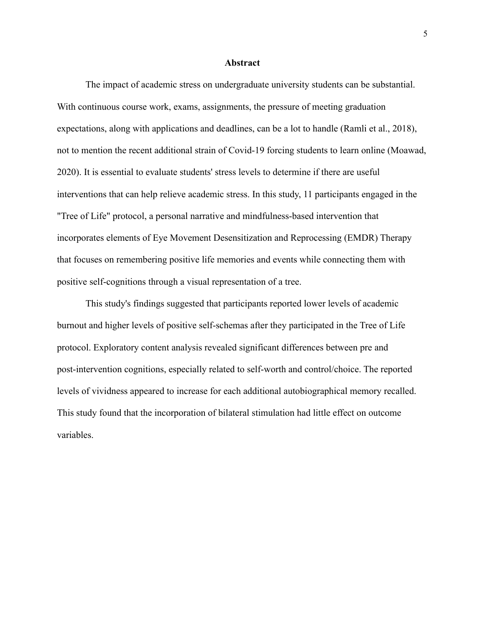#### **Abstract**

The impact of academic stress on undergraduate university students can be substantial. With continuous course work, exams, assignments, the pressure of meeting graduation expectations, along with applications and deadlines, can be a lot to handle (Ramli et al., 2018), not to mention the recent additional strain of Covid-19 forcing students to learn online (Moawad, 2020). It is essential to evaluate students' stress levels to determine if there are useful interventions that can help relieve academic stress. In this study, 11 participants engaged in the "Tree of Life" protocol, a personal narrative and mindfulness-based intervention that incorporates elements of Eye Movement Desensitization and Reprocessing (EMDR) Therapy that focuses on remembering positive life memories and events while connecting them with positive self-cognitions through a visual representation of a tree.

This study's findings suggested that participants reported lower levels of academic burnout and higher levels of positive self-schemas after they participated in the Tree of Life protocol. Exploratory content analysis revealed significant differences between pre and post-intervention cognitions, especially related to self-worth and control/choice. The reported levels of vividness appeared to increase for each additional autobiographical memory recalled. This study found that the incorporation of bilateral stimulation had little effect on outcome variables.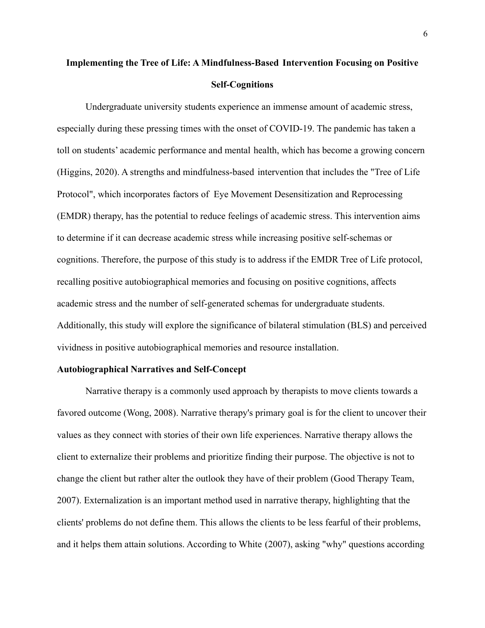# **Implementing the Tree of Life: A Mindfulness-Based Intervention Focusing on Positive Self-Cognitions**

Undergraduate university students experience an immense amount of academic stress, especially during these pressing times with the onset of COVID-19. The pandemic has taken a toll on students' academic performance and mental health, which has become a growing concern (Higgins, 2020). A strengths and mindfulness-based intervention that includes the "Tree of Life Protocol", which incorporates factors of Eye Movement Desensitization and Reprocessing (EMDR) therapy, has the potential to reduce feelings of academic stress. This intervention aims to determine if it can decrease academic stress while increasing positive self-schemas or cognitions. Therefore, the purpose of this study is to address if the EMDR Tree of Life protocol, recalling positive autobiographical memories and focusing on positive cognitions, affects academic stress and the number of self-generated schemas for undergraduate students. Additionally, this study will explore the significance of bilateral stimulation (BLS) and perceived vividness in positive autobiographical memories and resource installation.

#### **Autobiographical Narratives and Self-Concept**

Narrative therapy is a commonly used approach by therapists to move clients towards a favored outcome (Wong, 2008). Narrative therapy's primary goal is for the client to uncover their values as they connect with stories of their own life experiences. Narrative therapy allows the client to externalize their problems and prioritize finding their purpose. The objective is not to change the client but rather alter the outlook they have of their problem (Good Therapy Team, 2007). Externalization is an important method used in narrative therapy, highlighting that the clients' problems do not define them. This allows the clients to be less fearful of their problems, and it helps them attain solutions. According to White (2007), asking "why" questions according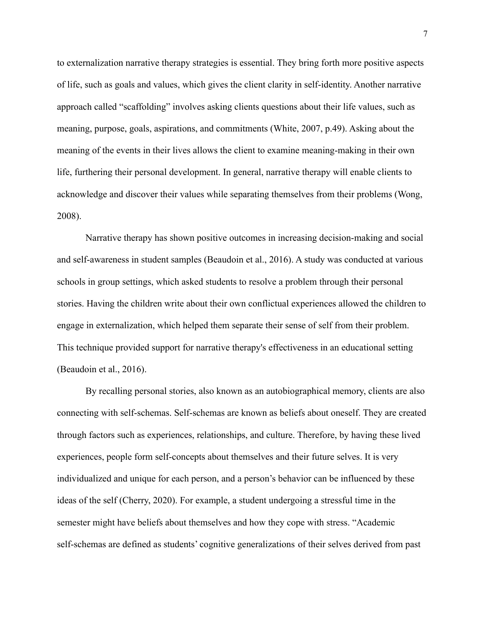to externalization narrative therapy strategies is essential. They bring forth more positive aspects of life, such as goals and values, which gives the client clarity in self-identity. Another narrative approach called "scaffolding" involves asking clients questions about their life values, such as meaning, purpose, goals, aspirations, and commitments (White, 2007, p.49). Asking about the meaning of the events in their lives allows the client to examine meaning-making in their own life, furthering their personal development. In general, narrative therapy will enable clients to acknowledge and discover their values while separating themselves from their problems (Wong, 2008).

Narrative therapy has shown positive outcomes in increasing decision-making and social and self-awareness in student samples (Beaudoin et al., 2016). A study was conducted at various schools in group settings, which asked students to resolve a problem through their personal stories. Having the children write about their own conflictual experiences allowed the children to engage in externalization, which helped them separate their sense of self from their problem. This technique provided support for narrative therapy's effectiveness in an educational setting (Beaudoin et al., 2016).

By recalling personal stories, also known as an autobiographical memory, clients are also connecting with self-schemas. Self-schemas are known as beliefs about oneself. They are created through factors such as experiences, relationships, and culture. Therefore, by having these lived experiences, people form self-concepts about themselves and their future selves. It is very individualized and unique for each person, and a person's behavior can be influenced by these ideas of the self (Cherry, 2020). For example, a student undergoing a stressful time in the semester might have beliefs about themselves and how they cope with stress. "Academic self-schemas are defined as students' cognitive generalizations of their selves derived from past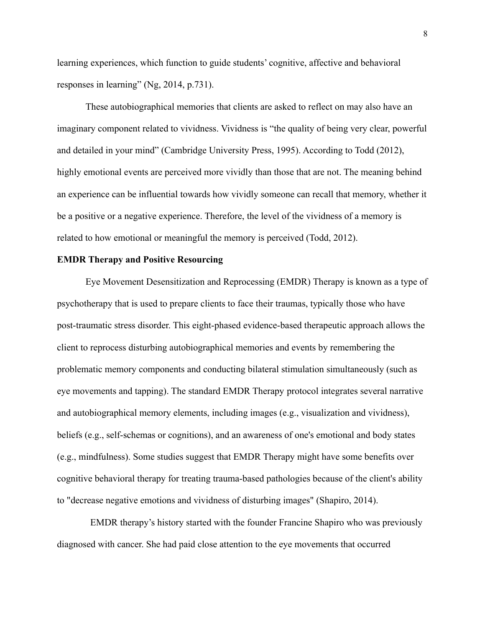learning experiences, which function to guide students' cognitive, affective and behavioral responses in learning" (Ng, 2014, p.731).

These autobiographical memories that clients are asked to reflect on may also have an imaginary component related to vividness. Vividness is "the quality of being very clear, powerful and detailed in your mind" (Cambridge University Press, 1995). According to Todd (2012), highly emotional events are perceived more vividly than those that are not. The meaning behind an experience can be influential towards how vividly someone can recall that memory, whether it be a positive or a negative experience. Therefore, the level of the vividness of a memory is related to how emotional or meaningful the memory is perceived (Todd, 2012).

#### **EMDR Therapy and Positive Resourcing**

Eye Movement Desensitization and Reprocessing (EMDR) Therapy is known as a type of psychotherapy that is used to prepare clients to face their traumas, typically those who have post-traumatic stress disorder. This eight-phased evidence-based therapeutic approach allows the client to reprocess disturbing autobiographical memories and events by remembering the problematic memory components and conducting bilateral stimulation simultaneously (such as eye movements and tapping). The standard EMDR Therapy protocol integrates several narrative and autobiographical memory elements, including images (e.g., visualization and vividness), beliefs (e.g., self-schemas or cognitions), and an awareness of one's emotional and body states (e.g., mindfulness). Some studies suggest that EMDR Therapy might have some benefits over cognitive behavioral therapy for treating trauma-based pathologies because of the client's ability to "decrease negative emotions and vividness of disturbing images" (Shapiro, 2014).

EMDR therapy's history started with the founder Francine Shapiro who was previously diagnosed with cancer. She had paid close attention to the eye movements that occurred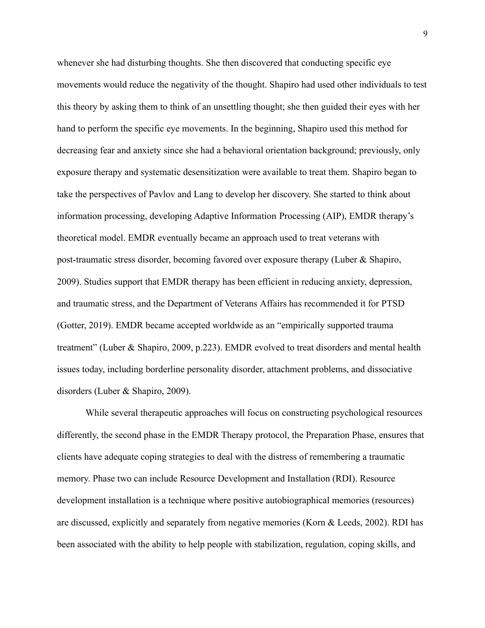whenever she had disturbing thoughts. She then discovered that conducting specific eye movements would reduce the negativity of the thought. Shapiro had used other individuals to test this theory by asking them to think of an unsettling thought; she then guided their eyes with her hand to perform the specific eye movements. In the beginning, Shapiro used this method for decreasing fear and anxiety since she had a behavioral orientation background; previously, only exposure therapy and systematic desensitization were available to treat them. Shapiro began to take the perspectives of Pavlov and Lang to develop her discovery. She started to think about information processing, developing Adaptive Information Processing (AIP), EMDR therapy's theoretical model. EMDR eventually became an approach used to treat veterans with post-traumatic stress disorder, becoming favored over exposure therapy (Luber & Shapiro, 2009). Studies support that EMDR therapy has been efficient in reducing anxiety, depression, and traumatic stress, and the Department of Veterans Affairs has recommended it for PTSD (Gotter, 2019). EMDR became accepted worldwide as an "empirically supported trauma treatment" (Luber & Shapiro, 2009, p.223). EMDR evolved to treat disorders and mental health issues today, including borderline personality disorder, attachment problems, and dissociative disorders (Luber & Shapiro, 2009).

While several therapeutic approaches will focus on constructing psychological resources differently, the second phase in the EMDR Therapy protocol, the Preparation Phase, ensures that clients have adequate coping strategies to deal with the distress of remembering a traumatic memory. Phase two can include Resource Development and Installation (RDI). Resource development installation is a technique where positive autobiographical memories (resources) are discussed, explicitly and separately from negative memories (Korn & Leeds, 2002). RDI has been associated with the ability to help people with stabilization, regulation, coping skills, and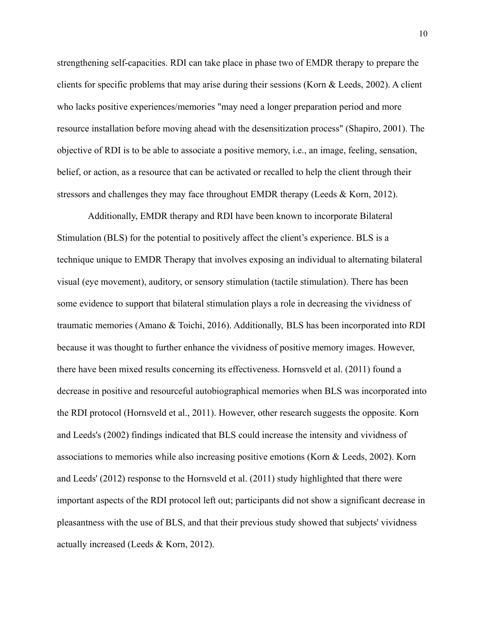strengthening self-capacities. RDI can take place in phase two of EMDR therapy to prepare the clients for specific problems that may arise during their sessions (Korn & Leeds, 2002). A client who lacks positive experiences/memories "may need a longer preparation period and more resource installation before moving ahead with the desensitization process" (Shapiro, 2001). The objective of RDI is to be able to associate a positive memory, i.e., an image, feeling, sensation, belief, or action, as a resource that can be activated or recalled to help the client through their stressors and challenges they may face throughout EMDR therapy (Leeds & Korn, 2012).

Additionally, EMDR therapy and RDI have been known to incorporate Bilateral Stimulation (BLS) for the potential to positively affect the client's experience. BLS is a technique unique to EMDR Therapy that involves exposing an individual to alternating bilateral visual (eye movement), auditory, or sensory stimulation (tactile stimulation). There has been some evidence to support that bilateral stimulation plays a role in decreasing the vividness of traumatic memories (Amano & Toichi, 2016). Additionally, BLS has been incorporated into RDI because it was thought to further enhance the vividness of positive memory images. However, there have been mixed results concerning its effectiveness. Hornsveld et al. (2011) found a decrease in positive and resourceful autobiographical memories when BLS was incorporated into the RDI protocol (Hornsveld et al., 2011). However, other research suggests the opposite. Korn and Leeds's (2002) findings indicated that BLS could increase the intensity and vividness of associations to memories while also increasing positive emotions (Korn & Leeds, 2002). Korn and Leeds' (2012) response to the Hornsveld et al. (2011) study highlighted that there were important aspects of the RDI protocol left out; participants did not show a significant decrease in pleasantness with the use of BLS, and that their previous study showed that subjects' vividness actually increased (Leeds & Korn, 2012).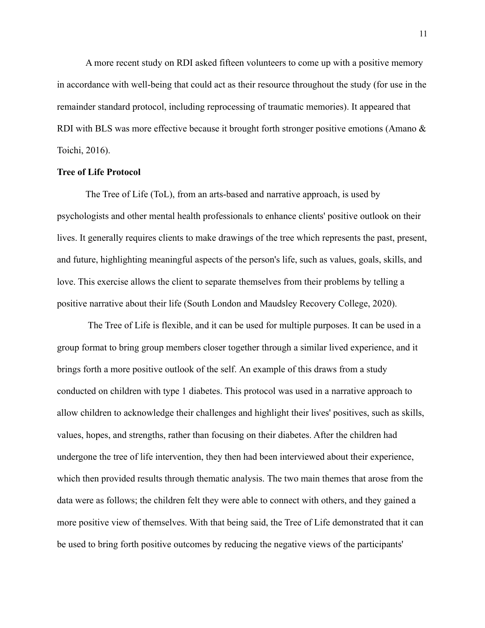A more recent study on RDI asked fifteen volunteers to come up with a positive memory in accordance with well-being that could act as their resource throughout the study (for use in the remainder standard protocol, including reprocessing of traumatic memories). It appeared that RDI with BLS was more effective because it brought forth stronger positive emotions (Amano & Toichi, 2016).

#### **Tree of Life Protocol**

The Tree of Life (ToL), from an arts-based and narrative approach, is used by psychologists and other mental health professionals to enhance clients' positive outlook on their lives. It generally requires clients to make drawings of the tree which represents the past, present, and future, highlighting meaningful aspects of the person's life, such as values, goals, skills, and love. This exercise allows the client to separate themselves from their problems by telling a positive narrative about their life (South London and Maudsley Recovery College, 2020).

The Tree of Life is flexible, and it can be used for multiple purposes. It can be used in a group format to bring group members closer together through a similar lived experience, and it brings forth a more positive outlook of the self. An example of this draws from a study conducted on children with type 1 diabetes. This protocol was used in a narrative approach to allow children to acknowledge their challenges and highlight their lives' positives, such as skills, values, hopes, and strengths, rather than focusing on their diabetes. After the children had undergone the tree of life intervention, they then had been interviewed about their experience, which then provided results through thematic analysis. The two main themes that arose from the data were as follows; the children felt they were able to connect with others, and they gained a more positive view of themselves. With that being said, the Tree of Life demonstrated that it can be used to bring forth positive outcomes by reducing the negative views of the participants'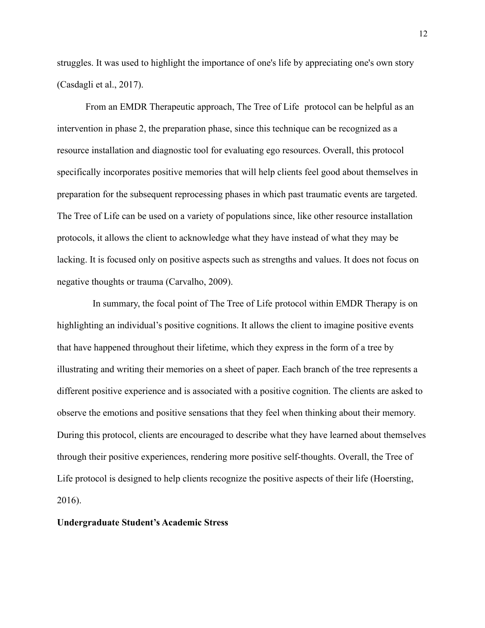struggles. It was used to highlight the importance of one's life by appreciating one's own story (Casdagli et al., 2017).

From an EMDR Therapeutic approach, The Tree of Life protocol can be helpful as an intervention in phase 2, the preparation phase, since this technique can be recognized as a resource installation and diagnostic tool for evaluating ego resources. Overall, this protocol specifically incorporates positive memories that will help clients feel good about themselves in preparation for the subsequent reprocessing phases in which past traumatic events are targeted. The Tree of Life can be used on a variety of populations since, like other resource installation protocols, it allows the client to acknowledge what they have instead of what they may be lacking. It is focused only on positive aspects such as strengths and values. It does not focus on negative thoughts or trauma (Carvalho, 2009).

In summary, the focal point of The Tree of Life protocol within EMDR Therapy is on highlighting an individual's positive cognitions. It allows the client to imagine positive events that have happened throughout their lifetime, which they express in the form of a tree by illustrating and writing their memories on a sheet of paper. Each branch of the tree represents a different positive experience and is associated with a positive cognition. The clients are asked to observe the emotions and positive sensations that they feel when thinking about their memory. During this protocol, clients are encouraged to describe what they have learned about themselves through their positive experiences, rendering more positive self-thoughts. Overall, the Tree of Life protocol is designed to help clients recognize the positive aspects of their life (Hoersting, 2016).

#### **Undergraduate Student's Academic Stress**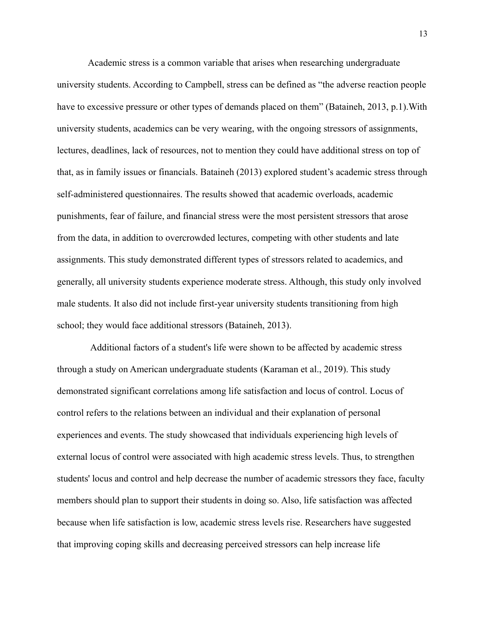Academic stress is a common variable that arises when researching undergraduate university students. According to Campbell, stress can be defined as "the adverse reaction people have to excessive pressure or other types of demands placed on them" (Bataineh, 2013, p.1).With university students, academics can be very wearing, with the ongoing stressors of assignments, lectures, deadlines, lack of resources, not to mention they could have additional stress on top of that, as in family issues or financials. Bataineh (2013) explored student's academic stress through self-administered questionnaires. The results showed that academic overloads, academic punishments, fear of failure, and financial stress were the most persistent stressors that arose from the data, in addition to overcrowded lectures, competing with other students and late assignments. This study demonstrated different types of stressors related to academics, and generally, all university students experience moderate stress. Although, this study only involved male students. It also did not include first-year university students transitioning from high school; they would face additional stressors (Bataineh, 2013).

Additional factors of a student's life were shown to be affected by academic stress through a study on American undergraduate students (Karaman et al., 2019). This study demonstrated significant correlations among life satisfaction and locus of control. Locus of control refers to the relations between an individual and their explanation of personal experiences and events. The study showcased that individuals experiencing high levels of external locus of control were associated with high academic stress levels. Thus, to strengthen students' locus and control and help decrease the number of academic stressors they face, faculty members should plan to support their students in doing so. Also, life satisfaction was affected because when life satisfaction is low, academic stress levels rise. Researchers have suggested that improving coping skills and decreasing perceived stressors can help increase life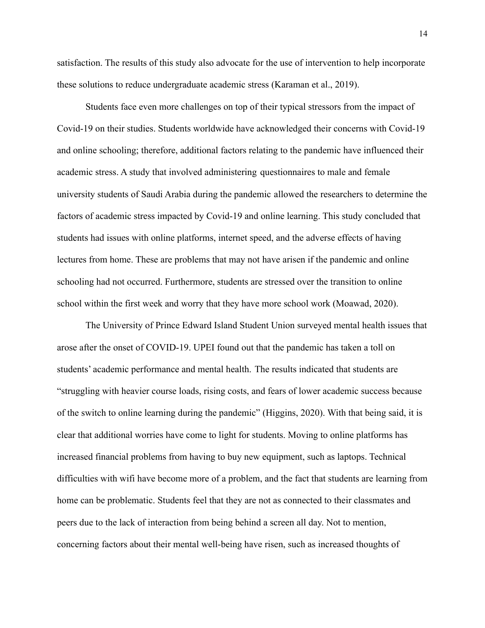satisfaction. The results of this study also advocate for the use of intervention to help incorporate these solutions to reduce undergraduate academic stress (Karaman et al., 2019).

Students face even more challenges on top of their typical stressors from the impact of Covid-19 on their studies. Students worldwide have acknowledged their concerns with Covid-19 and online schooling; therefore, additional factors relating to the pandemic have influenced their academic stress. A study that involved administering questionnaires to male and female university students of Saudi Arabia during the pandemic allowed the researchers to determine the factors of academic stress impacted by Covid-19 and online learning. This study concluded that students had issues with online platforms, internet speed, and the adverse effects of having lectures from home. These are problems that may not have arisen if the pandemic and online schooling had not occurred. Furthermore, students are stressed over the transition to online school within the first week and worry that they have more school work (Moawad, 2020).

The University of Prince Edward Island Student Union surveyed mental health issues that arose after the onset of COVID-19. UPEI found out that the pandemic has taken a toll on students' academic performance and mental health. The results indicated that students are "struggling with heavier course loads, rising costs, and fears of lower academic success because of the switch to online learning during the pandemic" (Higgins, 2020). With that being said, it is clear that additional worries have come to light for students. Moving to online platforms has increased financial problems from having to buy new equipment, such as laptops. Technical difficulties with wifi have become more of a problem, and the fact that students are learning from home can be problematic. Students feel that they are not as connected to their classmates and peers due to the lack of interaction from being behind a screen all day. Not to mention, concerning factors about their mental well-being have risen, such as increased thoughts of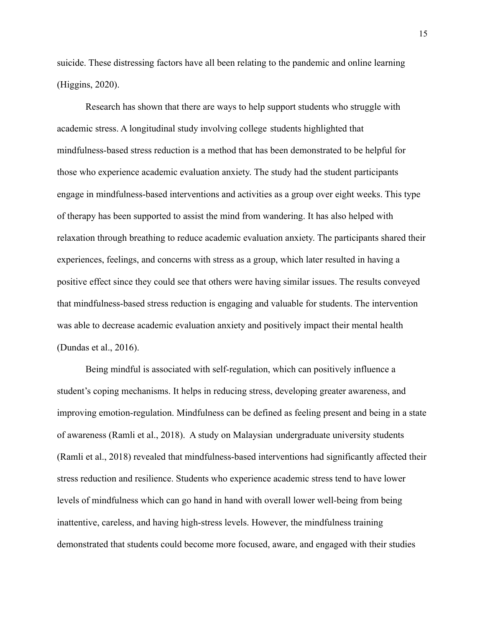suicide. These distressing factors have all been relating to the pandemic and online learning (Higgins, 2020).

Research has shown that there are ways to help support students who struggle with academic stress. A longitudinal study involving college students highlighted that mindfulness-based stress reduction is a method that has been demonstrated to be helpful for those who experience academic evaluation anxiety. The study had the student participants engage in mindfulness-based interventions and activities as a group over eight weeks. This type of therapy has been supported to assist the mind from wandering. It has also helped with relaxation through breathing to reduce academic evaluation anxiety. The participants shared their experiences, feelings, and concerns with stress as a group, which later resulted in having a positive effect since they could see that others were having similar issues. The results conveyed that mindfulness-based stress reduction is engaging and valuable for students. The intervention was able to decrease academic evaluation anxiety and positively impact their mental health (Dundas et al., 2016).

Being mindful is associated with self-regulation, which can positively influence a student's coping mechanisms. It helps in reducing stress, developing greater awareness, and improving emotion-regulation. Mindfulness can be defined as feeling present and being in a state of awareness (Ramli et al., 2018). A study on Malaysian undergraduate university students (Ramli et al., 2018) revealed that mindfulness-based interventions had significantly affected their stress reduction and resilience. Students who experience academic stress tend to have lower levels of mindfulness which can go hand in hand with overall lower well-being from being inattentive, careless, and having high-stress levels. However, the mindfulness training demonstrated that students could become more focused, aware, and engaged with their studies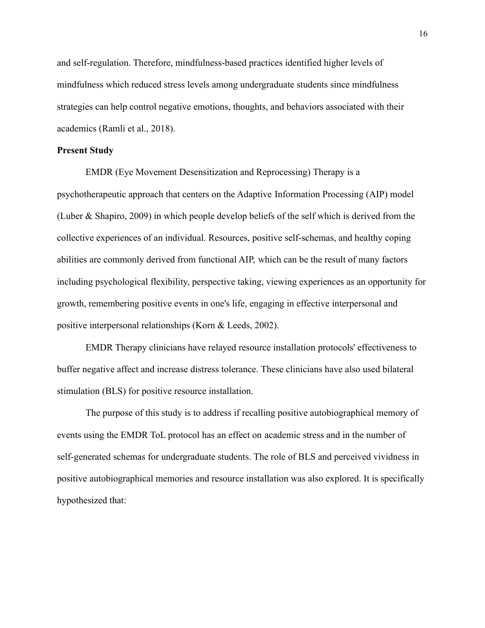and self-regulation. Therefore, mindfulness-based practices identified higher levels of mindfulness which reduced stress levels among undergraduate students since mindfulness strategies can help control negative emotions, thoughts, and behaviors associated with their academics (Ramli et al., 2018).

#### **Present Study**

EMDR (Eye Movement Desensitization and Reprocessing) Therapy is a psychotherapeutic approach that centers on the Adaptive Information Processing (AIP) model (Luber & Shapiro, 2009) in which people develop beliefs of the self which is derived from the collective experiences of an individual. Resources, positive self-schemas, and healthy coping abilities are commonly derived from functional AIP, which can be the result of many factors including psychological flexibility, perspective taking, viewing experiences as an opportunity for growth, remembering positive events in one's life, engaging in effective interpersonal and positive interpersonal relationships (Korn & Leeds, 2002).

EMDR Therapy clinicians have relayed resource installation protocols' effectiveness to buffer negative affect and increase distress tolerance. These clinicians have also used bilateral stimulation (BLS) for positive resource installation.

The purpose of this study is to address if recalling positive autobiographical memory of events using the EMDR ToL protocol has an effect on academic stress and in the number of self-generated schemas for undergraduate students. The role of BLS and perceived vividness in positive autobiographical memories and resource installation was also explored. It is specifically hypothesized that: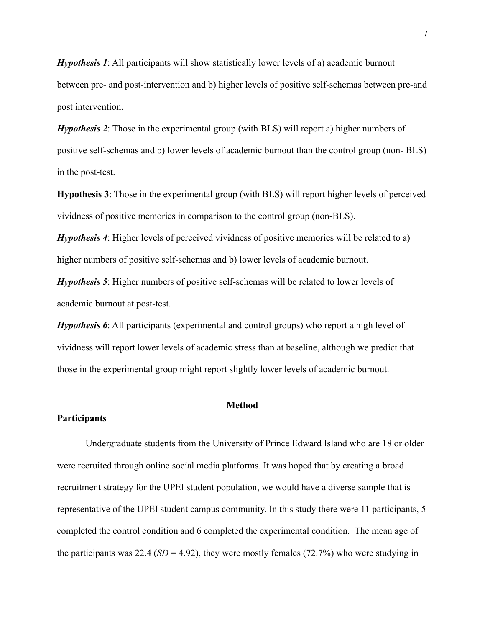*Hypothesis 1*: All participants will show statistically lower levels of a) academic burnout between pre- and post-intervention and b) higher levels of positive self-schemas between pre-and post intervention.

*Hypothesis 2*: Those in the experimental group (with BLS) will report a) higher numbers of positive self-schemas and b) lower levels of academic burnout than the control group (non- BLS) in the post-test.

**Hypothesis 3**: Those in the experimental group (with BLS) will report higher levels of perceived vividness of positive memories in comparison to the control group (non-BLS).

*Hypothesis 4*: Higher levels of perceived vividness of positive memories will be related to a) higher numbers of positive self-schemas and b) lower levels of academic burnout.

*Hypothesis 5*: Higher numbers of positive self-schemas will be related to lower levels of academic burnout at post-test.

*Hypothesis 6*: All participants (experimental and control groups) who report a high level of vividness will report lower levels of academic stress than at baseline, although we predict that those in the experimental group might report slightly lower levels of academic burnout.

#### **Method**

#### **Participants**

Undergraduate students from the University of Prince Edward Island who are 18 or older were recruited through online social media platforms. It was hoped that by creating a broad recruitment strategy for the UPEI student population, we would have a diverse sample that is representative of the UPEI student campus community. In this study there were 11 participants, 5 completed the control condition and 6 completed the experimental condition. The mean age of the participants was 22.4 ( $SD = 4.92$ ), they were mostly females (72.7%) who were studying in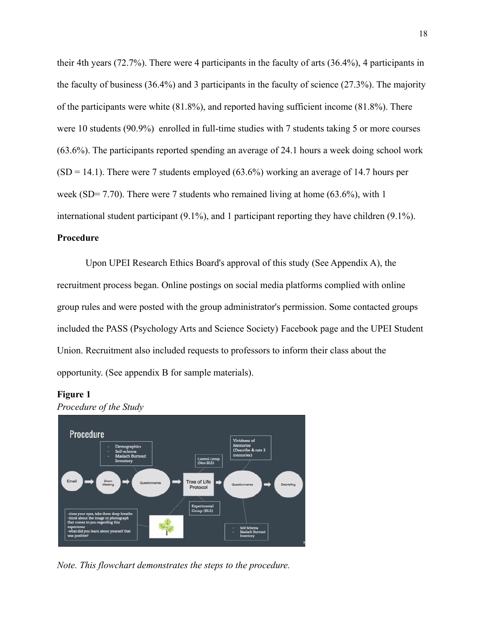their 4th years (72.7%). There were 4 participants in the faculty of arts (36.4%), 4 participants in the faculty of business (36.4%) and 3 participants in the faculty of science (27.3%). The majority of the participants were white (81.8%), and reported having sufficient income (81.8%). There were 10 students (90.9%) enrolled in full-time studies with 7 students taking 5 or more courses (63.6%). The participants reported spending an average of 24.1 hours a week doing school work  $(SD = 14.1)$ . There were 7 students employed  $(63.6%)$  working an average of 14.7 hours per week (SD= 7.70). There were 7 students who remained living at home (63.6%), with 1 international student participant (9.1%), and 1 participant reporting they have children (9.1%).

## **Procedure**

Upon UPEI Research Ethics Board's approval of this study (See Appendix A), the recruitment process began. Online postings on social media platforms complied with online group rules and were posted with the group administrator's permission. Some contacted groups included the PASS (Psychology Arts and Science Society) Facebook page and the UPEI Student Union. Recruitment also included requests to professors to inform their class about the opportunity. (See appendix B for sample materials).

#### **Figure 1**





*Note. This flowchart demonstrates the steps to the procedure.*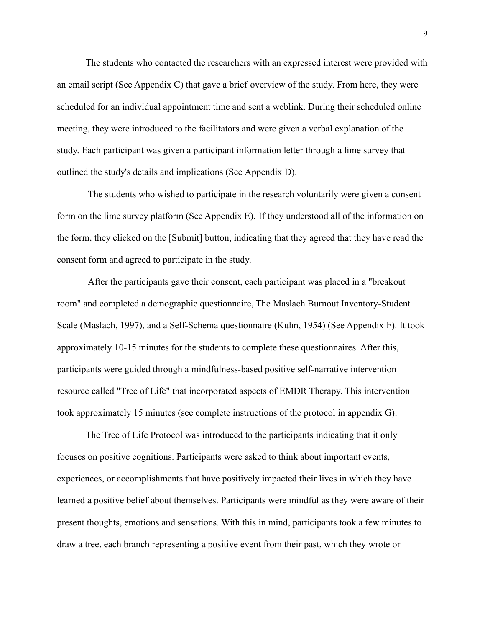The students who contacted the researchers with an expressed interest were provided with an email script (See Appendix C) that gave a brief overview of the study. From here, they were scheduled for an individual appointment time and sent a weblink. During their scheduled online meeting, they were introduced to the facilitators and were given a verbal explanation of the study. Each participant was given a participant information letter through a lime survey that outlined the study's details and implications (See Appendix D).

The students who wished to participate in the research voluntarily were given a consent form on the lime survey platform (See Appendix E). If they understood all of the information on the form, they clicked on the [Submit] button, indicating that they agreed that they have read the consent form and agreed to participate in the study.

After the participants gave their consent, each participant was placed in a "breakout room" and completed a demographic questionnaire, The Maslach Burnout Inventory-Student Scale (Maslach, 1997), and a Self-Schema questionnaire (Kuhn, 1954) (See Appendix F). It took approximately 10-15 minutes for the students to complete these questionnaires. After this, participants were guided through a mindfulness-based positive self-narrative intervention resource called "Tree of Life" that incorporated aspects of EMDR Therapy. This intervention took approximately 15 minutes (see complete instructions of the protocol in appendix G).

The Tree of Life Protocol was introduced to the participants indicating that it only focuses on positive cognitions. Participants were asked to think about important events, experiences, or accomplishments that have positively impacted their lives in which they have learned a positive belief about themselves. Participants were mindful as they were aware of their present thoughts, emotions and sensations. With this in mind, participants took a few minutes to draw a tree, each branch representing a positive event from their past, which they wrote or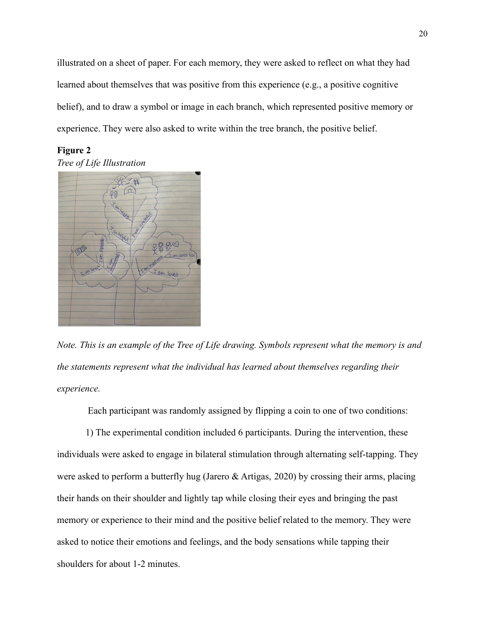illustrated on a sheet of paper. For each memory, they were asked to reflect on what they had learned about themselves that was positive from this experience (e.g., a positive cognitive belief), and to draw a symbol or image in each branch, which represented positive memory or experience. They were also asked to write within the tree branch, the positive belief.

**Figure 2** *Tree of Life Illustration*



*Note. This is an example of the Tree of Life drawing. Symbols represent what the memory is and the statements represent what the individual has learned about themselves regarding their experience.*

Each participant was randomly assigned by flipping a coin to one of two conditions:

1) The experimental condition included 6 participants. During the intervention, these individuals were asked to engage in bilateral stimulation through alternating self-tapping. They were asked to perform a butterfly hug (Jarero & Artigas, 2020) by crossing their arms, placing their hands on their shoulder and lightly tap while closing their eyes and bringing the past memory or experience to their mind and the positive belief related to the memory. They were asked to notice their emotions and feelings, and the body sensations while tapping their shoulders for about 1-2 minutes.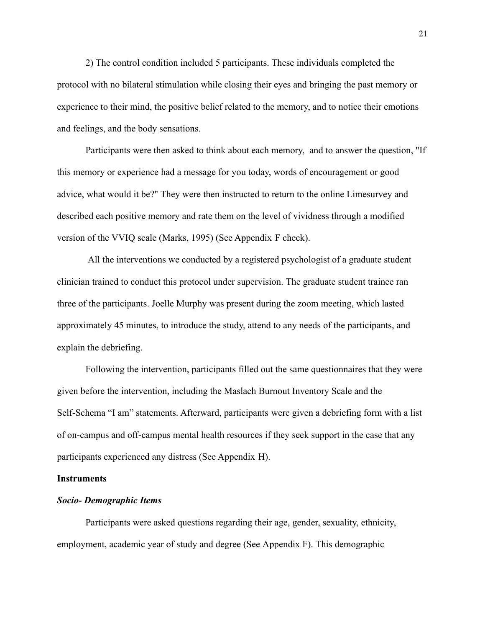2) The control condition included 5 participants. These individuals completed the protocol with no bilateral stimulation while closing their eyes and bringing the past memory or experience to their mind, the positive belief related to the memory, and to notice their emotions and feelings, and the body sensations.

Participants were then asked to think about each memory, and to answer the question, "If this memory or experience had a message for you today, words of encouragement or good advice, what would it be?" They were then instructed to return to the online Limesurvey and described each positive memory and rate them on the level of vividness through a modified version of the VVIQ scale (Marks, 1995) (See Appendix F check).

All the interventions we conducted by a registered psychologist of a graduate student clinician trained to conduct this protocol under supervision. The graduate student trainee ran three of the participants. Joelle Murphy was present during the zoom meeting, which lasted approximately 45 minutes, to introduce the study, attend to any needs of the participants, and explain the debriefing.

Following the intervention, participants filled out the same questionnaires that they were given before the intervention, including the Maslach Burnout Inventory Scale and the Self-Schema "I am" statements. Afterward, participants were given a debriefing form with a list of on-campus and off-campus mental health resources if they seek support in the case that any participants experienced any distress (See Appendix H).

#### **Instruments**

#### *Socio- Demographic Items*

Participants were asked questions regarding their age, gender, sexuality, ethnicity, employment, academic year of study and degree (See Appendix F). This demographic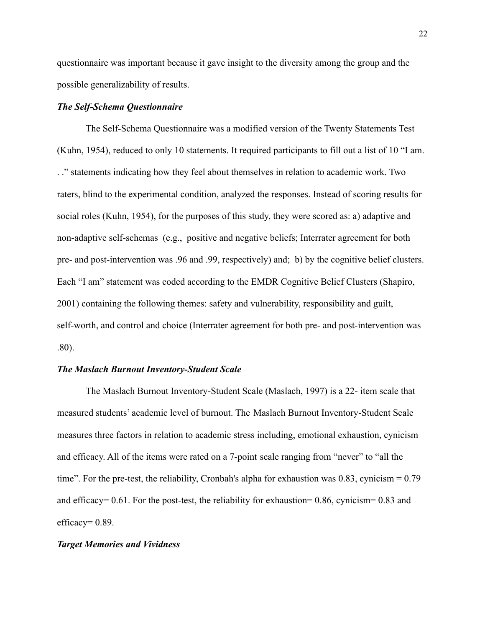questionnaire was important because it gave insight to the diversity among the group and the possible generalizability of results.

#### *The Self-Schema Questionnaire*

The Self-Schema Questionnaire was a modified version of the Twenty Statements Test (Kuhn, 1954), reduced to only 10 statements. It required participants to fill out a list of 10 "I am. . ." statements indicating how they feel about themselves in relation to academic work. Two raters, blind to the experimental condition, analyzed the responses. Instead of scoring results for social roles (Kuhn, 1954), for the purposes of this study, they were scored as: a) adaptive and non-adaptive self-schemas (e.g., positive and negative beliefs; Interrater agreement for both pre- and post-intervention was .96 and .99, respectively) and; b) by the cognitive belief clusters. Each "I am" statement was coded according to the EMDR Cognitive Belief Clusters (Shapiro, 2001) containing the following themes: safety and vulnerability, responsibility and guilt, self-worth, and control and choice (Interrater agreement for both pre- and post-intervention was .80).

#### *The Maslach Burnout Inventory-Student Scale*

The Maslach Burnout Inventory-Student Scale (Maslach, 1997) is a 22- item scale that measured students' academic level of burnout. The Maslach Burnout Inventory-Student Scale measures three factors in relation to academic stress including, emotional exhaustion, cynicism and efficacy. All of the items were rated on a 7-point scale ranging from "never" to "all the time". For the pre-test, the reliability, Cronbah's alpha for exhaustion was  $0.83$ , cynicism =  $0.79$ and efficacy=  $0.61$ . For the post-test, the reliability for exhaustion= 0.86, cynicism= 0.83 and efficacy= $0.89$ .

#### *Target Memories and Vividness*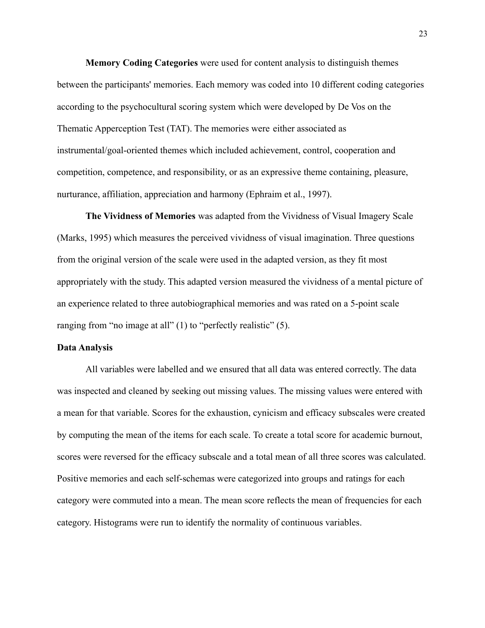**Memory Coding Categories** were used for content analysis to distinguish themes between the participants' memories. Each memory was coded into 10 different coding categories according to the psychocultural scoring system which were developed by De Vos on the Thematic Apperception Test (TAT). The memories were either associated as instrumental/goal-oriented themes which included achievement, control, cooperation and competition, competence, and responsibility, or as an expressive theme containing, pleasure, nurturance, affiliation, appreciation and harmony (Ephraim et al., 1997).

**The Vividness of Memories** was adapted from the Vividness of Visual Imagery Scale (Marks, 1995) which measures the perceived vividness of visual imagination. Three questions from the original version of the scale were used in the adapted version, as they fit most appropriately with the study. This adapted version measured the vividness of a mental picture of an experience related to three autobiographical memories and was rated on a 5-point scale ranging from "no image at all" (1) to "perfectly realistic" (5).

#### **Data Analysis**

All variables were labelled and we ensured that all data was entered correctly. The data was inspected and cleaned by seeking out missing values. The missing values were entered with a mean for that variable. Scores for the exhaustion, cynicism and efficacy subscales were created by computing the mean of the items for each scale. To create a total score for academic burnout, scores were reversed for the efficacy subscale and a total mean of all three scores was calculated. Positive memories and each self-schemas were categorized into groups and ratings for each category were commuted into a mean. The mean score reflects the mean of frequencies for each category. Histograms were run to identify the normality of continuous variables.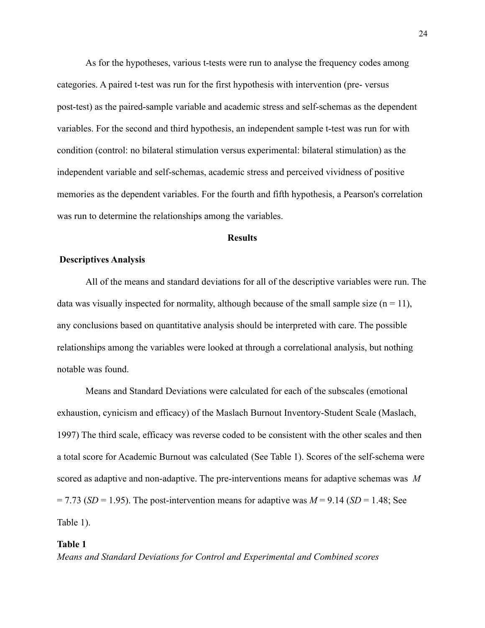As for the hypotheses, various t-tests were run to analyse the frequency codes among categories. A paired t-test was run for the first hypothesis with intervention (pre- versus post-test) as the paired-sample variable and academic stress and self-schemas as the dependent variables. For the second and third hypothesis, an independent sample t-test was run for with condition (control: no bilateral stimulation versus experimental: bilateral stimulation) as the independent variable and self-schemas, academic stress and perceived vividness of positive memories as the dependent variables. For the fourth and fifth hypothesis, a Pearson's correlation was run to determine the relationships among the variables.

#### **Results**

#### **Descriptives Analysis**

All of the means and standard deviations for all of the descriptive variables were run. The data was visually inspected for normality, although because of the small sample size  $(n = 11)$ , any conclusions based on quantitative analysis should be interpreted with care. The possible relationships among the variables were looked at through a correlational analysis, but nothing notable was found.

Means and Standard Deviations were calculated for each of the subscales (emotional exhaustion, cynicism and efficacy) of the Maslach Burnout Inventory-Student Scale (Maslach, 1997) The third scale, efficacy was reverse coded to be consistent with the other scales and then a total score for Academic Burnout was calculated (See Table 1). Scores of the self-schema were scored as adaptive and non-adaptive. The pre-interventions means for adaptive schemas was *M*  $= 7.73$  (*SD* = 1.95). The post-intervention means for adaptive was  $M = 9.14$  (*SD* = 1.48; See Table 1).

#### **Table 1**

*Means and Standard Deviations for Control and Experimental and Combined scores*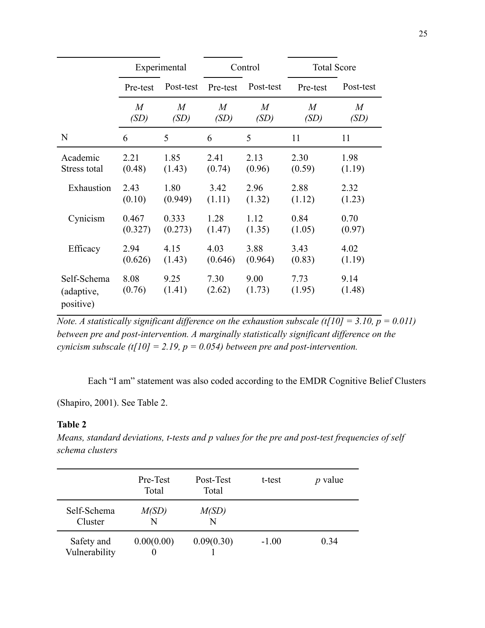|                                        | Experimental   |                | Control        |                | <b>Total Score</b> |                |
|----------------------------------------|----------------|----------------|----------------|----------------|--------------------|----------------|
|                                        | Pre-test       | Post-test      | Pre-test       | Post-test      | Pre-test           | Post-test      |
|                                        | M              | $\overline{M}$ | $\overline{M}$ | $\overline{M}$ | $\overline{M}$     | $\overline{M}$ |
|                                        | (SD)           | (SD)           | (SD)           | (SD)           | (SD)               | (SD)           |
| N                                      | 6              | 5              | 6              | 5              | 11                 | 11             |
| Academic                               | 2.21           | 1.85           | 2.41           | 2.13           | 2.30               | 1.98           |
| Stress total                           | (0.48)         | (1.43)         | (0.74)         | (0.96)         | (0.59)             | (1.19)         |
| Exhaustion                             | 2.43           | 1.80           | 3.42           | 2.96           | 2.88               | 2.32           |
|                                        | (0.10)         | (0.949)        | (1.11)         | (1.32)         | (1.12)             | (1.23)         |
| Cynicism                               | 0.467          | 0.333          | 1.28           | 1.12           | 0.84               | 0.70           |
|                                        | (0.327)        | (0.273)        | (1.47)         | (1.35)         | (1.05)             | (0.97)         |
| Efficacy                               | 2.94           | 4.15           | 4.03           | 3.88           | 3.43               | 4.02           |
|                                        | (0.626)        | (1.43)         | (0.646)        | (0.964)        | (0.83)             | (1.19)         |
| Self-Schema<br>(adaptive,<br>positive) | 8.08<br>(0.76) | 9.25<br>(1.41) | 7.30<br>(2.62) | 9.00<br>(1.73) | 7.73<br>(1.95)     | 9.14<br>(1.48) |

*Note. A statistically significant difference on the exhaustion subscale (t[10] = 3.10,*  $p = 0.011$ *) between pre and post-intervention. A marginally statistically significant difference on the cynicism subscale (t[10] = 2.19, p = 0.054) between pre and post-intervention.*

Each "I am" statement was also coded according to the EMDR Cognitive Belief Clusters

(Shapiro, 2001). See Table 2.

## **Table 2**

*Means, standard deviations, t-tests and p values for the pre and post-test frequencies of self schema clusters*

|                             | Pre-Test<br>Total | Post-Test<br>Total | t-test  | value<br>$\boldsymbol{p}$ |
|-----------------------------|-------------------|--------------------|---------|---------------------------|
| Self-Schema<br>Cluster      | M(SD)<br>N        | M(SD)<br>N         |         |                           |
| Safety and<br>Vulnerability | 0.00(0.00)        | 0.09(0.30)         | $-1.00$ | 0.34                      |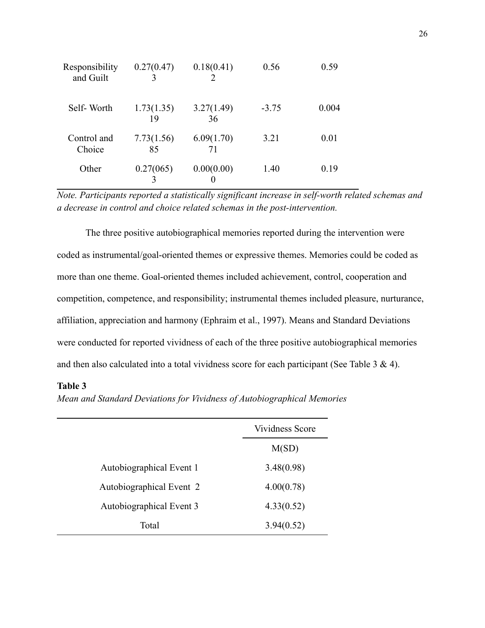| Responsibility<br>and Guilt | 0.27(0.47)       | 0.18(0.41)       | 0.56    | 0.59  |
|-----------------------------|------------------|------------------|---------|-------|
| Self-Worth                  | 1.73(1.35)<br>19 | 3.27(1.49)<br>36 | $-3.75$ | 0.004 |
| Control and<br>Choice       | 7.73(1.56)<br>85 | 6.09(1.70)<br>71 | 3.21    | 0.01  |
| Other                       | 0.27(065)        | 0.00(0.00)       | 1.40    | 0.19  |

*Note. Participants reported a statistically significant increase in self-worth related schemas and a decrease in control and choice related schemas in the post-intervention.*

The three positive autobiographical memories reported during the intervention were coded as instrumental/goal-oriented themes or expressive themes. Memories could be coded as more than one theme. Goal-oriented themes included achievement, control, cooperation and competition, competence, and responsibility; instrumental themes included pleasure, nurturance, affiliation, appreciation and harmony (Ephraim et al., 1997). Means and Standard Deviations were conducted for reported vividness of each of the three positive autobiographical memories and then also calculated into a total vividness score for each participant (See Table 3 & 4).

## **Table 3**

*Mean and Standard Deviations for Vividness of Autobiographical Memories*

|                          | Vividness Score |
|--------------------------|-----------------|
|                          | M(SD)           |
| Autobiographical Event 1 | 3.48(0.98)      |
| Autobiographical Event 2 | 4.00(0.78)      |
| Autobiographical Event 3 | 4.33(0.52)      |
| Total                    | 3.94(0.52)      |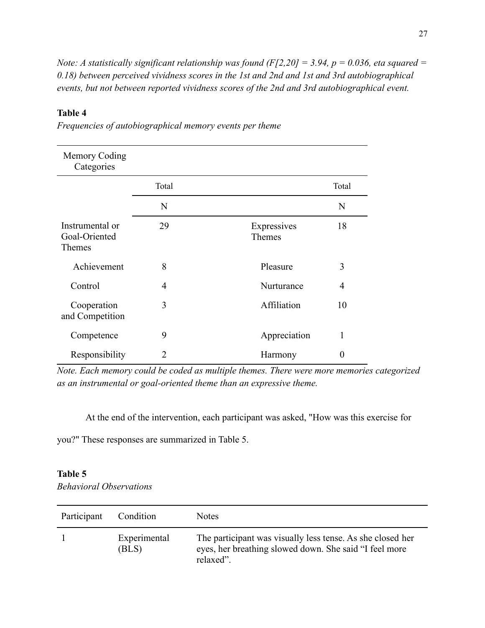*Note: A statistically significant relationship was found (F[2,20] = 3.94, p = 0.036, eta squared = 0.18) between perceived vividness scores in the 1st and 2nd and 1st and 3rd autobiographical events, but not between reported vividness scores of the 2nd and 3rd autobiographical event.*

## **Table 4**

| Memory Coding<br>Categories                |                |                       |                |
|--------------------------------------------|----------------|-----------------------|----------------|
|                                            | Total          |                       | Total          |
|                                            | N              |                       | N              |
| Instrumental or<br>Goal-Oriented<br>Themes | 29             | Expressives<br>Themes | 18             |
| Achievement                                | 8              | Pleasure              | 3              |
| Control                                    | 4              | Nurturance            | $\overline{4}$ |
| Cooperation<br>and Competition             | 3              | Affiliation           | 10             |
| Competence                                 | 9              | Appreciation          | 1              |
| Responsibility                             | $\mathfrak{D}$ | Harmony               | 0              |

*Frequencies of autobiographical memory events per theme*

*Note. Each memory could be coded as multiple themes. There were more memories categorized as an instrumental or goal-oriented theme than an expressive theme.*

At the end of the intervention, each participant was asked, "How was this exercise for

you?" These responses are summarized in Table 5.

## **Table 5**

*Behavioral Observations*

| Participant | Condition             | <b>Notes</b>                                                                                                                      |
|-------------|-----------------------|-----------------------------------------------------------------------------------------------------------------------------------|
|             | Experimental<br>(BLS) | The participant was visually less tense. As she closed her<br>eyes, her breathing slowed down. She said "I feel more<br>relaxed". |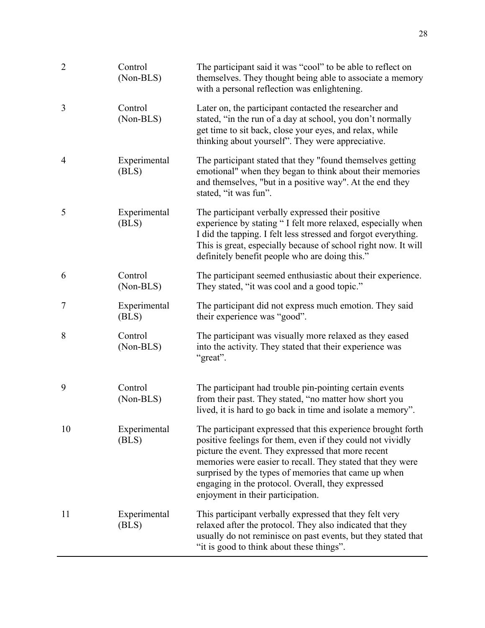| $\sqrt{2}$     | Control<br>(Non-BLS)  | The participant said it was "cool" to be able to reflect on<br>themselves. They thought being able to associate a memory<br>with a personal reflection was enlightening.                                                                                                                                                                                                                         |
|----------------|-----------------------|--------------------------------------------------------------------------------------------------------------------------------------------------------------------------------------------------------------------------------------------------------------------------------------------------------------------------------------------------------------------------------------------------|
| 3              | Control<br>(Non-BLS)  | Later on, the participant contacted the researcher and<br>stated, "in the run of a day at school, you don't normally<br>get time to sit back, close your eyes, and relax, while<br>thinking about yourself". They were appreciative.                                                                                                                                                             |
| $\overline{4}$ | Experimental<br>(BLS) | The participant stated that they "found themselves getting<br>emotional" when they began to think about their memories<br>and themselves, "but in a positive way". At the end they<br>stated, "it was fun".                                                                                                                                                                                      |
| 5              | Experimental<br>(BLS) | The participant verbally expressed their positive<br>experience by stating "I felt more relaxed, especially when<br>I did the tapping. I felt less stressed and forgot everything.<br>This is great, especially because of school right now. It will<br>definitely benefit people who are doing this."                                                                                           |
| 6              | Control<br>(Non-BLS)  | The participant seemed enthusiastic about their experience.<br>They stated, "it was cool and a good topic."                                                                                                                                                                                                                                                                                      |
| 7              | Experimental<br>(BLS) | The participant did not express much emotion. They said<br>their experience was "good".                                                                                                                                                                                                                                                                                                          |
| 8              | Control<br>(Non-BLS)  | The participant was visually more relaxed as they eased<br>into the activity. They stated that their experience was<br>"great".                                                                                                                                                                                                                                                                  |
| 9              | Control<br>(Non-BLS)  | The participant had trouble pin-pointing certain events<br>from their past. They stated, "no matter how short you<br>lived, it is hard to go back in time and isolate a memory".                                                                                                                                                                                                                 |
| 10             | Experimental<br>(BLS) | The participant expressed that this experience brought forth<br>positive feelings for them, even if they could not vividly<br>picture the event. They expressed that more recent<br>memories were easier to recall. They stated that they were<br>surprised by the types of memories that came up when<br>engaging in the protocol. Overall, they expressed<br>enjoyment in their participation. |
| 11             | Experimental<br>(BLS) | This participant verbally expressed that they felt very<br>relaxed after the protocol. They also indicated that they<br>usually do not reminisce on past events, but they stated that<br>"it is good to think about these things".                                                                                                                                                               |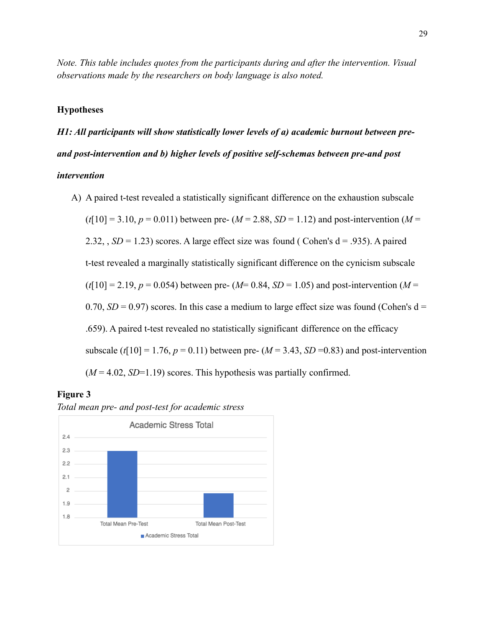*Note. This table includes quotes from the participants during and after the intervention. Visual observations made by the researchers on body language is also noted.*

#### **Hypotheses**

*H1: All participants will show statistically lower levels of a) academic burnout between preand post-intervention and b) higher levels of positive self-schemas between pre-and post intervention*

A) A paired t-test revealed a statistically significant difference on the exhaustion subscale  $(t[10] = 3.10, p = 0.011)$  between pre-  $(M = 2.88, SD = 1.12)$  and post-intervention  $(M = 1.12)$ 2.32,  $SD = 1.23$ ) scores. A large effect size was found (Cohen's  $d = .935$ ). A paired t-test revealed a marginally statistically significant difference on the cynicism subscale  $(t[10] = 2.19, p = 0.054)$  between pre-  $(M= 0.84, SD = 1.05)$  and post-intervention  $(M=$ 0.70,  $SD = 0.97$ ) scores. In this case a medium to large effect size was found (Cohen's  $d =$ .659). A paired t-test revealed no statistically significant difference on the efficacy subscale ( $t[10] = 1.76$ ,  $p = 0.11$ ) between pre- ( $M = 3.43$ ,  $SD = 0.83$ ) and post-intervention  $(M = 4.02, SD = 1.19)$  scores. This hypothesis was partially confirmed.

## **Figure 3**



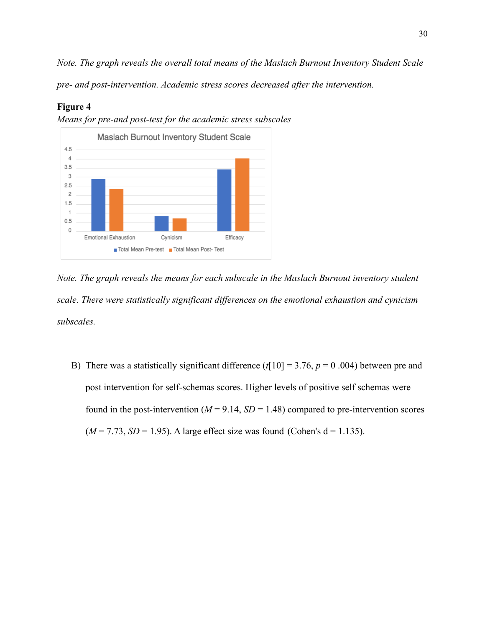*Note. The graph reveals the overall total means of the Maslach Burnout Inventory Student Scale pre- and post-intervention. Academic stress scores decreased after the intervention.*

### **Figure 4**



*Means for pre-and post-test for the academic stress subscales*

*Note. The graph reveals the means for each subscale in the Maslach Burnout inventory student scale. There were statistically significant differences on the emotional exhaustion and cynicism subscales.*

B) There was a statistically significant difference  $(t[10] = 3.76, p = 0.004)$  between pre and post intervention for self-schemas scores. Higher levels of positive self schemas were found in the post-intervention ( $M = 9.14$ ,  $SD = 1.48$ ) compared to pre-intervention scores  $(M = 7.73, SD = 1.95)$ . A large effect size was found (Cohen's  $d = 1.135$ ).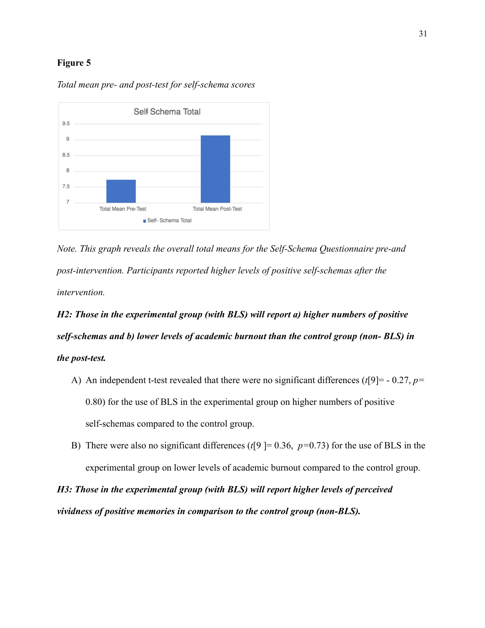#### **Figure 5**



*Total mean pre- and post-test for self-schema scores*

*Note. This graph reveals the overall total means for the Self-Schema Questionnaire pre-and post-intervention. Participants reported higher levels of positive self-schemas after the intervention.*

# *H2: Those in the experimental group (with BLS) will report a) higher numbers of positive self-schemas and b) lower levels of academic burnout than the control group (non- BLS) in the post-test.*

- A) An independent t-test revealed that there were no significant differences (*t*[9]= 0.27, *p=* 0.80) for the use of BLS in the experimental group on higher numbers of positive self-schemas compared to the control group.
- B) There were also no significant differences ( $t$ [9] = 0.36,  $p$ =0.73) for the use of BLS in the experimental group on lower levels of academic burnout compared to the control group.

*H3: Those in the experimental group (with BLS) will report higher levels of perceived vividness of positive memories in comparison to the control group (non-BLS).*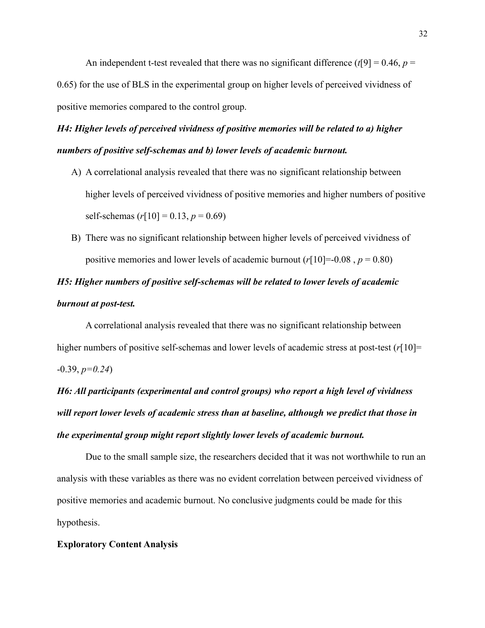An independent t-test revealed that there was no significant difference  $(t[9] = 0.46, p =$ 0.65) for the use of BLS in the experimental group on higher levels of perceived vividness of positive memories compared to the control group.

# *H4: Higher levels of perceived vividness of positive memories will be related to a) higher numbers of positive self-schemas and b) lower levels of academic burnout.*

- A) A correlational analysis revealed that there was no significant relationship between higher levels of perceived vividness of positive memories and higher numbers of positive self-schemas  $(r[10] = 0.13, p = 0.69)$
- B) There was no significant relationship between higher levels of perceived vividness of positive memories and lower levels of academic burnout  $(r[10] = 0.08, p = 0.80)$

# *H5: Higher numbers of positive self-schemas will be related to lower levels of academic burnout at post-test.*

A correlational analysis revealed that there was no significant relationship between higher numbers of positive self-schemas and lower levels of academic stress at post-test  $(r[10]$ = -0.39, *p=0.24*)

*H6: All participants (experimental and control groups) who report a high level of vividness will report lower levels of academic stress than at baseline, although we predict that those in the experimental group might report slightly lower levels of academic burnout.*

Due to the small sample size, the researchers decided that it was not worthwhile to run an analysis with these variables as there was no evident correlation between perceived vividness of positive memories and academic burnout. No conclusive judgments could be made for this hypothesis.

#### **Exploratory Content Analysis**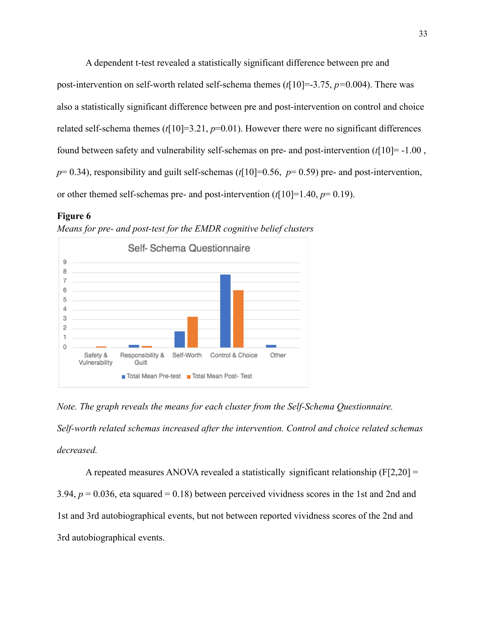A dependent t-test revealed a statistically significant difference between pre and post-intervention on self-worth related self-schema themes (*t*[10]=-3.75, *p=*0.004). There was also a statistically significant difference between pre and post-intervention on control and choice related self-schema themes ( $t$ [10]=3.21,  $p$ =0.01). However there were no significant differences found between safety and vulnerability self-schemas on pre- and post-intervention (*t*[10]= -1.00 ,  $p= 0.34$ ), responsibility and guilt self-schemas ( $t[10] = 0.56$ ,  $p= 0.59$ ) pre- and post-intervention, or other themed self-schemas pre- and post-intervention (*t*[10]=1.40, *p*= 0.19).

#### **Figure 6**



*Means for pre- and post-test for the EMDR cognitive belief clusters*

*Note. The graph reveals the means for each cluster from the Self-Schema Questionnaire. Self-worth related schemas increased after the intervention. Control and choice related schemas decreased.*

A repeated measures ANOVA revealed a statistically significant relationship  $(F[2,20] =$ 3.94,  $p = 0.036$ , eta squared = 0.18) between perceived vividness scores in the 1st and 2nd and 1st and 3rd autobiographical events, but not between reported vividness scores of the 2nd and 3rd autobiographical events.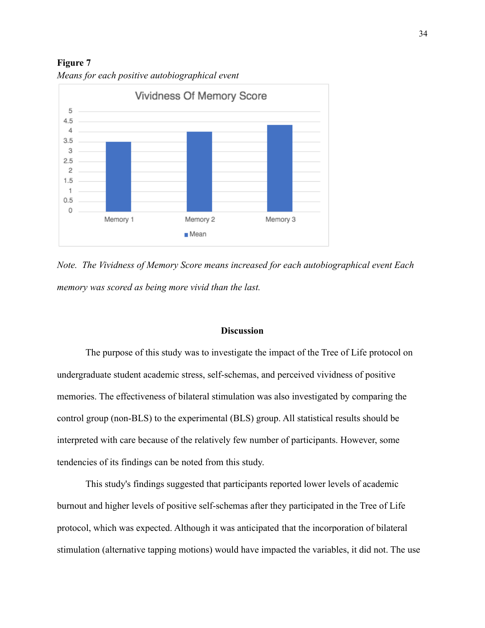**Figure 7** *Means for each positive autobiographical event*



*Note. The Vividness of Memory Score means increased for each autobiographical event Each memory was scored as being more vivid than the last.*

#### **Discussion**

The purpose of this study was to investigate the impact of the Tree of Life protocol on undergraduate student academic stress, self-schemas, and perceived vividness of positive memories. The effectiveness of bilateral stimulation was also investigated by comparing the control group (non-BLS) to the experimental (BLS) group. All statistical results should be interpreted with care because of the relatively few number of participants. However, some tendencies of its findings can be noted from this study.

This study's findings suggested that participants reported lower levels of academic burnout and higher levels of positive self-schemas after they participated in the Tree of Life protocol, which was expected. Although it was anticipated that the incorporation of bilateral stimulation (alternative tapping motions) would have impacted the variables, it did not. The use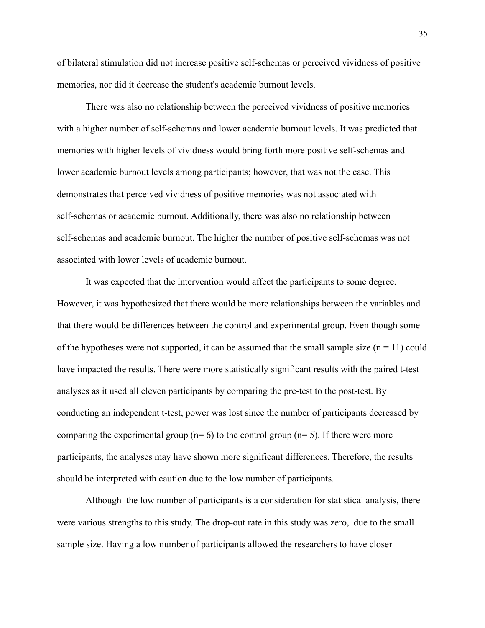of bilateral stimulation did not increase positive self-schemas or perceived vividness of positive memories, nor did it decrease the student's academic burnout levels.

There was also no relationship between the perceived vividness of positive memories with a higher number of self-schemas and lower academic burnout levels. It was predicted that memories with higher levels of vividness would bring forth more positive self-schemas and lower academic burnout levels among participants; however, that was not the case. This demonstrates that perceived vividness of positive memories was not associated with self-schemas or academic burnout. Additionally, there was also no relationship between self-schemas and academic burnout. The higher the number of positive self-schemas was not associated with lower levels of academic burnout.

It was expected that the intervention would affect the participants to some degree. However, it was hypothesized that there would be more relationships between the variables and that there would be differences between the control and experimental group. Even though some of the hypotheses were not supported, it can be assumed that the small sample size  $(n = 11)$  could have impacted the results. There were more statistically significant results with the paired t-test analyses as it used all eleven participants by comparing the pre-test to the post-test. By conducting an independent t-test, power was lost since the number of participants decreased by comparing the experimental group ( $n=6$ ) to the control group ( $n=5$ ). If there were more participants, the analyses may have shown more significant differences. Therefore, the results should be interpreted with caution due to the low number of participants.

Although the low number of participants is a consideration for statistical analysis, there were various strengths to this study. The drop-out rate in this study was zero, due to the small sample size. Having a low number of participants allowed the researchers to have closer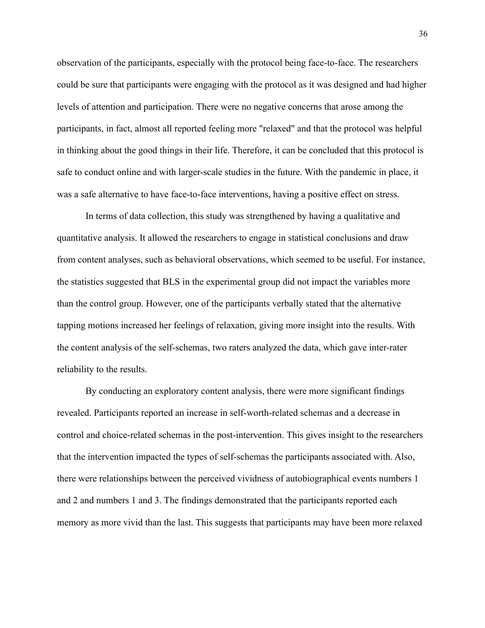observation of the participants, especially with the protocol being face-to-face. The researchers could be sure that participants were engaging with the protocol as it was designed and had higher levels of attention and participation. There were no negative concerns that arose among the participants, in fact, almost all reported feeling more "relaxed" and that the protocol was helpful in thinking about the good things in their life. Therefore, it can be concluded that this protocol is safe to conduct online and with larger-scale studies in the future. With the pandemic in place, it was a safe alternative to have face-to-face interventions, having a positive effect on stress.

In terms of data collection, this study was strengthened by having a qualitative and quantitative analysis. It allowed the researchers to engage in statistical conclusions and draw from content analyses, such as behavioral observations, which seemed to be useful. For instance, the statistics suggested that BLS in the experimental group did not impact the variables more than the control group. However, one of the participants verbally stated that the alternative tapping motions increased her feelings of relaxation, giving more insight into the results. With the content analysis of the self-schemas, two raters analyzed the data, which gave inter-rater reliability to the results.

By conducting an exploratory content analysis, there were more significant findings revealed. Participants reported an increase in self-worth-related schemas and a decrease in control and choice-related schemas in the post-intervention. This gives insight to the researchers that the intervention impacted the types of self-schemas the participants associated with. Also, there were relationships between the perceived vividness of autobiographical events numbers 1 and 2 and numbers 1 and 3. The findings demonstrated that the participants reported each memory as more vivid than the last. This suggests that participants may have been more relaxed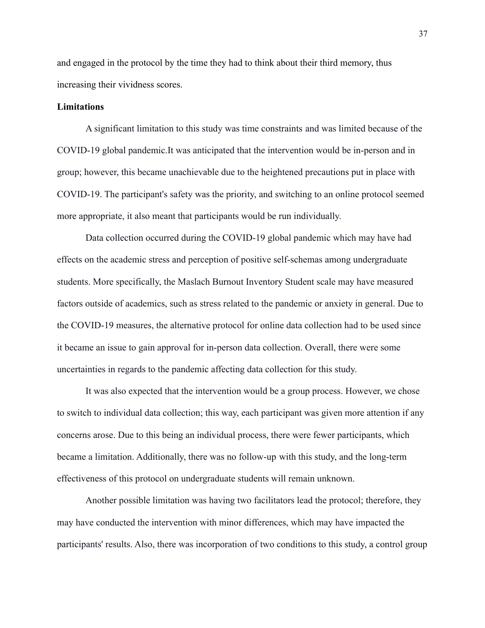and engaged in the protocol by the time they had to think about their third memory, thus increasing their vividness scores.

#### **Limitations**

A significant limitation to this study was time constraints and was limited because of the COVID-19 global pandemic.It was anticipated that the intervention would be in-person and in group; however, this became unachievable due to the heightened precautions put in place with COVID-19. The participant's safety was the priority, and switching to an online protocol seemed more appropriate, it also meant that participants would be run individually.

Data collection occurred during the COVID-19 global pandemic which may have had effects on the academic stress and perception of positive self-schemas among undergraduate students. More specifically, the Maslach Burnout Inventory Student scale may have measured factors outside of academics, such as stress related to the pandemic or anxiety in general. Due to the COVID-19 measures, the alternative protocol for online data collection had to be used since it became an issue to gain approval for in-person data collection. Overall, there were some uncertainties in regards to the pandemic affecting data collection for this study.

It was also expected that the intervention would be a group process. However, we chose to switch to individual data collection; this way, each participant was given more attention if any concerns arose. Due to this being an individual process, there were fewer participants, which became a limitation. Additionally, there was no follow-up with this study, and the long-term effectiveness of this protocol on undergraduate students will remain unknown.

Another possible limitation was having two facilitators lead the protocol; therefore, they may have conducted the intervention with minor differences, which may have impacted the participants' results. Also, there was incorporation of two conditions to this study, a control group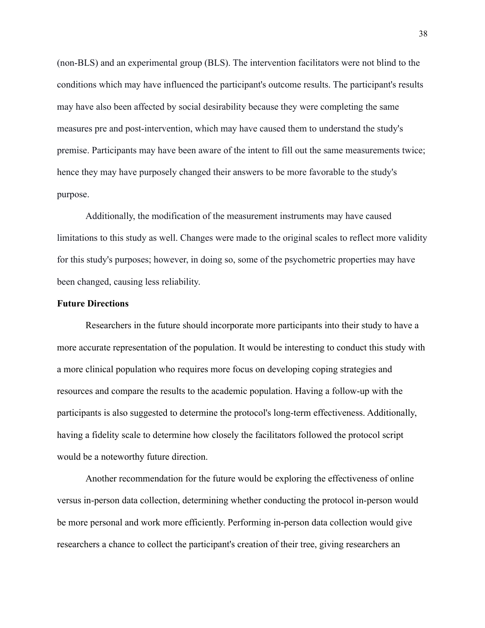(non-BLS) and an experimental group (BLS). The intervention facilitators were not blind to the conditions which may have influenced the participant's outcome results. The participant's results may have also been affected by social desirability because they were completing the same measures pre and post-intervention, which may have caused them to understand the study's premise. Participants may have been aware of the intent to fill out the same measurements twice; hence they may have purposely changed their answers to be more favorable to the study's purpose.

Additionally, the modification of the measurement instruments may have caused limitations to this study as well. Changes were made to the original scales to reflect more validity for this study's purposes; however, in doing so, some of the psychometric properties may have been changed, causing less reliability.

#### **Future Directions**

Researchers in the future should incorporate more participants into their study to have a more accurate representation of the population. It would be interesting to conduct this study with a more clinical population who requires more focus on developing coping strategies and resources and compare the results to the academic population. Having a follow-up with the participants is also suggested to determine the protocol's long-term effectiveness. Additionally, having a fidelity scale to determine how closely the facilitators followed the protocol script would be a noteworthy future direction.

Another recommendation for the future would be exploring the effectiveness of online versus in-person data collection, determining whether conducting the protocol in-person would be more personal and work more efficiently. Performing in-person data collection would give researchers a chance to collect the participant's creation of their tree, giving researchers an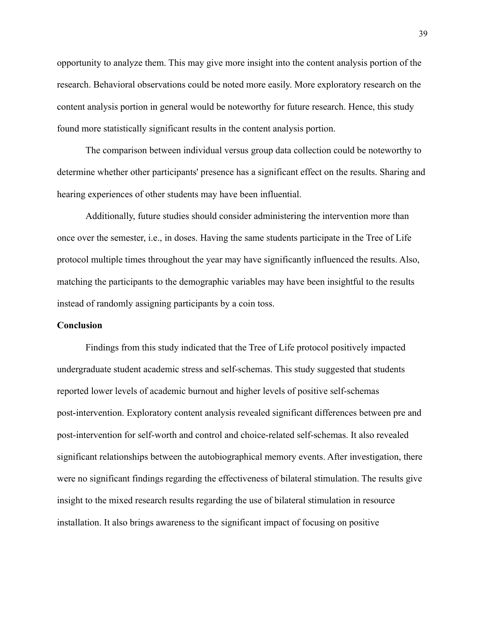opportunity to analyze them. This may give more insight into the content analysis portion of the research. Behavioral observations could be noted more easily. More exploratory research on the content analysis portion in general would be noteworthy for future research. Hence, this study found more statistically significant results in the content analysis portion.

The comparison between individual versus group data collection could be noteworthy to determine whether other participants' presence has a significant effect on the results. Sharing and hearing experiences of other students may have been influential.

Additionally, future studies should consider administering the intervention more than once over the semester, i.e., in doses. Having the same students participate in the Tree of Life protocol multiple times throughout the year may have significantly influenced the results. Also, matching the participants to the demographic variables may have been insightful to the results instead of randomly assigning participants by a coin toss.

#### **Conclusion**

Findings from this study indicated that the Tree of Life protocol positively impacted undergraduate student academic stress and self-schemas. This study suggested that students reported lower levels of academic burnout and higher levels of positive self-schemas post-intervention. Exploratory content analysis revealed significant differences between pre and post-intervention for self-worth and control and choice-related self-schemas. It also revealed significant relationships between the autobiographical memory events. After investigation, there were no significant findings regarding the effectiveness of bilateral stimulation. The results give insight to the mixed research results regarding the use of bilateral stimulation in resource installation. It also brings awareness to the significant impact of focusing on positive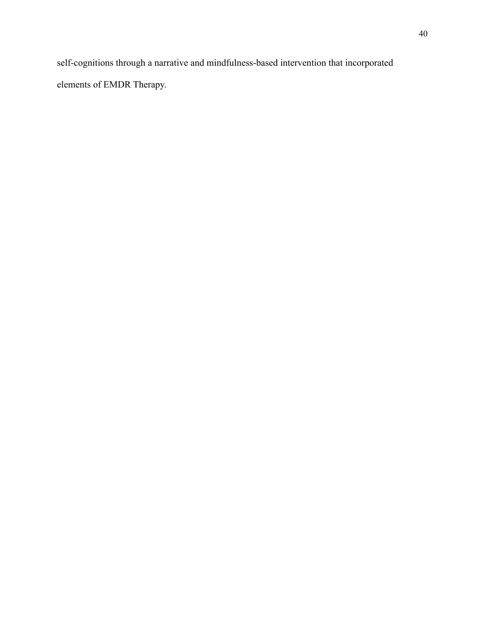self-cognitions through a narrative and mindfulness-based intervention that incorporated elements of EMDR Therapy.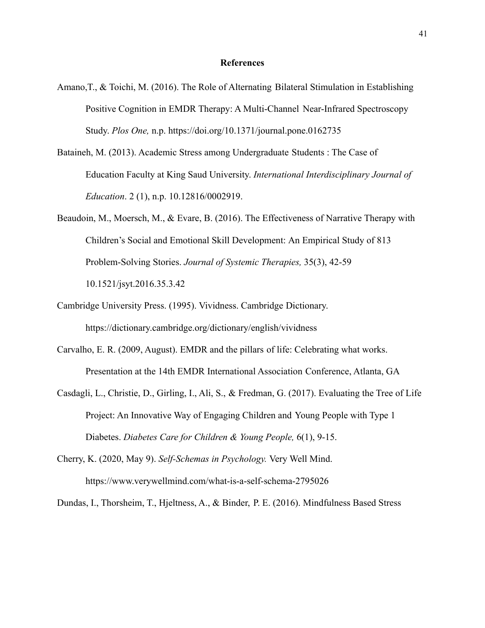#### **References**

- Amano,T., & Toichi, M. (2016). The Role of Alternating Bilateral Stimulation in Establishing Positive Cognition in EMDR Therapy: A Multi-Channel Near-Infrared Spectroscopy Study. *Plos One,* n.p. https://doi.org/10.1371/journal.pone.0162735
- Bataineh, M. (2013). Academic Stress among Undergraduate Students : The Case of Education Faculty at King Saud University. *International Interdisciplinary Journal of Education*. 2 (1), n.p. 10.12816/0002919.
- Beaudoin, M., Moersch, M., & Evare, B. (2016). The Effectiveness of Narrative Therapy with Children's Social and Emotional Skill Development: An Empirical Study of 813 Problem-Solving Stories. *Journal of Systemic Therapies,* 35(3), 42-59 10.1521/jsyt.2016.35.3.42
- Cambridge University Press. (1995). Vividness. Cambridge Dictionary. https://dictionary.cambridge.org/dictionary/english/vividness
- Carvalho, E. R. (2009, August). EMDR and the pillars of life: Celebrating what works. Presentation at the 14th EMDR International Association Conference, Atlanta, GA
- Casdagli, L., Christie, D., Girling, I., Ali, S., & Fredman, G. (2017). Evaluating the Tree of Life Project: An Innovative Way of Engaging Children and Young People with Type 1 Diabetes. *Diabetes Care for Children & Young People,* 6(1), 9-15.
- Cherry, K. (2020, May 9). *Self-Schemas in Psychology.* Very Well Mind. https://www.verywellmind.com/what-is-a-self-schema-2795026

Dundas, I., Thorsheim, T., Hjeltness, A., & Binder, P. E. (2016). Mindfulness Based Stress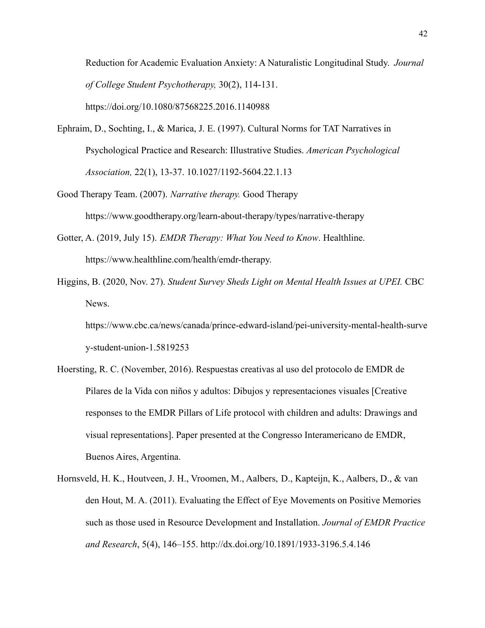Reduction for Academic Evaluation Anxiety: A Naturalistic Longitudinal Study. *Journal of College Student Psychotherapy,* 30(2), 114-131. https://doi.org/10.1080/87568225.2016.1140988

- Ephraim, D., Sochting, I., & Marica, J. E. (1997). Cultural Norms for TAT Narratives in Psychological Practice and Research: Illustrative Studies. *American Psychological Association,* 22(1), 13-37. 10.1027/1192-5604.22.1.13
- Good Therapy Team. (2007). *Narrative therapy.* Good Therapy https://www.goodtherapy.org/learn-about-therapy/types/narrative-therapy
- Gotter, A. (2019, July 15). *EMDR Therapy: What You Need to Know*. Healthline. https://www.healthline.com/health/emdr-therapy.
- Higgins, B. (2020, Nov. 27). *Student Survey Sheds Light on Mental Health Issues at UPEI.* CBC News.

https://www.cbc.ca/news/canada/prince-edward-island/pei-university-mental-health-surve y-student-union-1.5819253

- Hoersting, R. C. (November, 2016). Respuestas creativas al uso del protocolo de EMDR de Pilares de la Vida con niños y adultos: Dibujos y representaciones visuales [Creative responses to the EMDR Pillars of Life protocol with children and adults: Drawings and visual representations]. Paper presented at the Congresso Interamericano de EMDR, Buenos Aires, Argentina.
- Hornsveld, H. K., Houtveen, J. H., Vroomen, M., Aalbers, D., Kapteijn, K., Aalbers, D., & van den Hout, M. A. (2011). Evaluating the Effect of Eye Movements on Positive Memories such as those used in Resource Development and Installation. *Journal of EMDR Practice and Research*, 5(4), 146–155. http://dx.doi.org/10.1891/1933-3196.5.4.146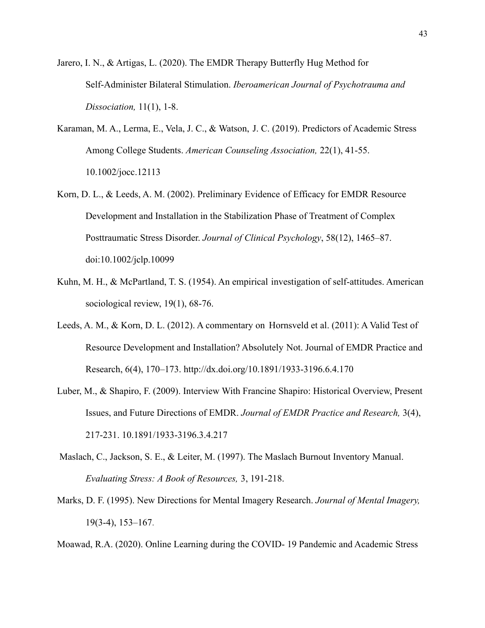- Jarero, I. N., & Artigas, L. (2020). The EMDR Therapy Butterfly Hug Method for Self-Administer Bilateral Stimulation. *Iberoamerican Journal of Psychotrauma and Dissociation,* 11(1), 1-8.
- Karaman, M. A., Lerma, E., Vela, J. C., & Watson, J. C. (2019). Predictors of Academic Stress Among College Students. *American Counseling Association,* 22(1), 41-55. 10.1002/jocc.12113
- Korn, D. L., & Leeds, A. M. (2002). Preliminary Evidence of Efficacy for EMDR Resource Development and Installation in the Stabilization Phase of Treatment of Complex Posttraumatic Stress Disorder. *Journal of Clinical Psychology*, 58(12), 1465–87. doi:10.1002/jclp.10099
- Kuhn, M. H., & McPartland, T. S. (1954). An empirical investigation of self-attitudes. American sociological review, 19(1), 68-76.
- Leeds, A. M., & Korn, D. L. (2012). A commentary on Hornsveld et al. (2011): A Valid Test of Resource Development and Installation? Absolutely Not. Journal of EMDR Practice and Research, 6(4), 170–173. http://dx.doi.org/10.1891/1933-3196.6.4.170
- Luber, M., & Shapiro, F. (2009). Interview With Francine Shapiro: Historical Overview, Present Issues, and Future Directions of EMDR. *Journal of EMDR Practice and Research,* 3(4), 217-231. 10.1891/1933-3196.3.4.217
- Maslach, C., Jackson, S. E., & Leiter, M. (1997). The Maslach Burnout Inventory Manual. *Evaluating Stress: A Book of Resources,* 3, 191-218.
- Marks, D. F. (1995). New Directions for Mental Imagery Research. *Journal of Mental Imagery,* 19(3-4), 153–167.

Moawad, R.A. (2020). Online Learning during the COVID- 19 Pandemic and Academic Stress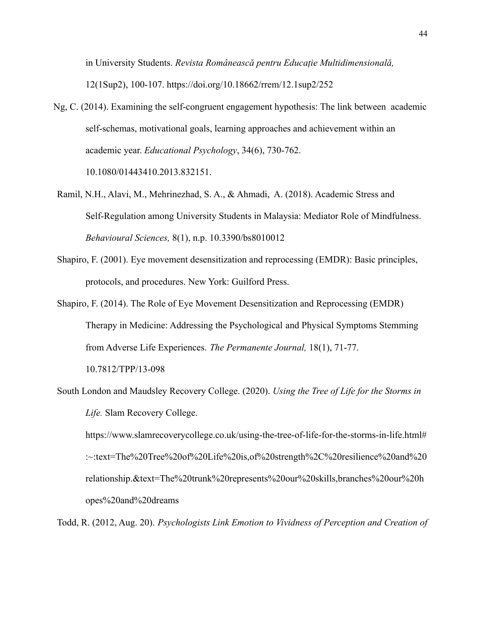in University Students. *Revista Românească pentru Educație Multidimensională,* 12(1Sup2), 100-107. https://doi.org/10.18662/rrem/12.1sup2/252

- Ng, C. (2014). Examining the self-congruent engagement hypothesis: The link between academic self-schemas, motivational goals, learning approaches and achievement within an academic year. *Educational Psychology*, 34(6), 730-762. 10.1080/01443410.2013.832151.
- Ramil, N.H., Alavi, M., Mehrinezhad, S. A., & Ahmadi, A. (2018). Academic Stress and Self-Regulation among University Students in Malaysia: Mediator Role of Mindfulness. *Behavioural Sciences,* 8(1), n.p. 10.3390/bs8010012
- Shapiro, F. (2001). Eye movement desensitization and reprocessing (EMDR): Basic principles, protocols, and procedures. New York: Guilford Press.
- Shapiro, F. (2014). The Role of Eye Movement Desensitization and Reprocessing (EMDR) Therapy in Medicine: Addressing the Psychological and Physical Symptoms Stemming from Adverse Life Experiences. *The Permanente Journal,* 18(1), 71-77. 10.7812/TPP/13-098
- South London and Maudsley Recovery College. (2020). *Using the Tree of Life for the Storms in Life.* Slam Recovery College.

https://www.slamrecoverycollege.co.uk/using-the-tree-of-life-for-the-storms-in-life.html# :~:text=The%20Tree%20of%20Life%20is,of%20strength%2C%20resilience%20and%20 relationship.&text=The%20trunk%20represents%20our%20skills,branches%20our%20h opes%20and%20dreams

Todd, R. (2012, Aug. 20). *Psychologists Link Emotion to Vividness of Perception and Creation of*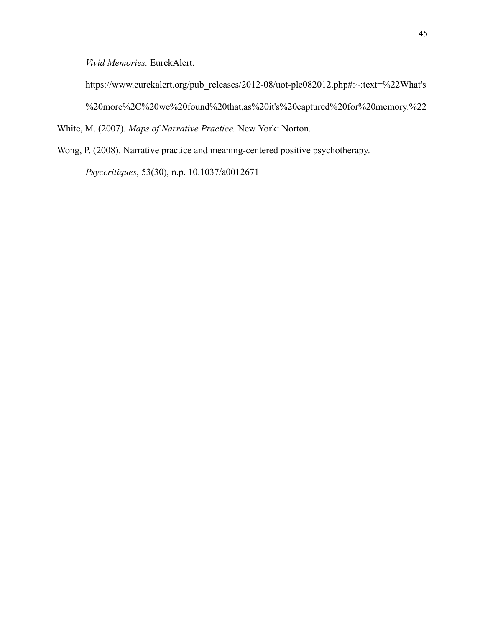*Vivid Memories.* EurekAlert.

https://www.eurekalert.org/pub\_releases/2012-08/uot-ple082012.php#:~:text=%22What's %20more%2C%20we%20found%20that,as%20it's%20captured%20for%20memory.%22

White, M. (2007). *Maps of Narrative Practice.* New York: Norton.

Wong, P. (2008). Narrative practice and meaning-centered positive psychotherapy.

*Psyccritiques*, 53(30), n.p. 10.1037/a0012671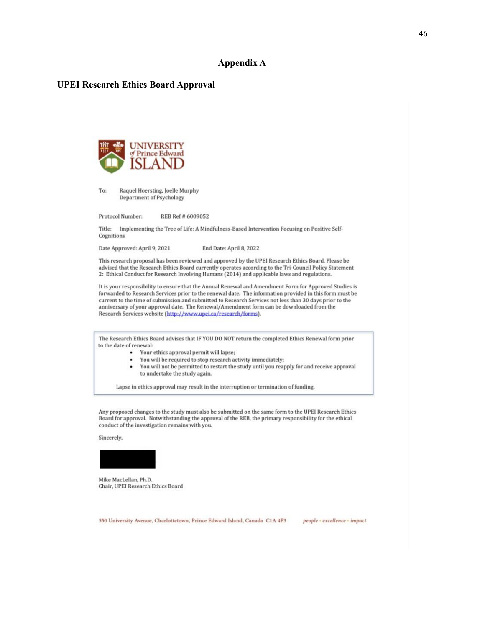#### **Appendix A**

#### **UPEI Research Ethics Board Approval**



To: Raquel Hoersting, Joelle Murphy **Department of Psychology** 

Protocol Number: REB Ref # 6009052

Title: Implementing the Tree of Life: A Mindfulness-Based Intervention Focusing on Positive Self-Cognitions

End Date: April 8, 2022 Date Approved: April 9, 2021

This research proposal has been reviewed and approved by the UPEI Research Ethics Board. Please be advised that the Research Ethics Board currently operates according to the Tri-Council Policy Statement 2: Ethical Conduct for Research Involving Humans (2014) and applicable laws and regulations.

It is your responsibility to ensure that the Annual Renewal and Amendment Form for Approved Studies is forwarded to Research Services prior to the renewal date. The information provided in this form must be current to the time of submission and submitted to Research Services not less than 30 days prior to the anniversary of your approval date. The Renewal/Amendment form can be downloaded from the Research Services website (http://www.upei.ca/research/forms).

The Research Ethics Board advises that IF YOU DO NOT return the completed Ethics Renewal form prior to the date of renewal:

- Your ethics approval permit will lapse;
- You will be required to stop research activity immediately;  $\bullet$
- You will not be permitted to restart the study until you reapply for and receive approval . to undertake the study again.

Lapse in ethics approval may result in the interruption or termination of funding.

Any proposed changes to the study must also be submitted on the same form to the UPEI Research Ethics Board for approval. Notwithstanding the approval of the REB, the primary responsibility for the ethical conduct of the investigation remains with you.

Sincerely,



Mike MacLellan, Ph.D. Chair, UPEI Research Ethics Board

people · excellence · impact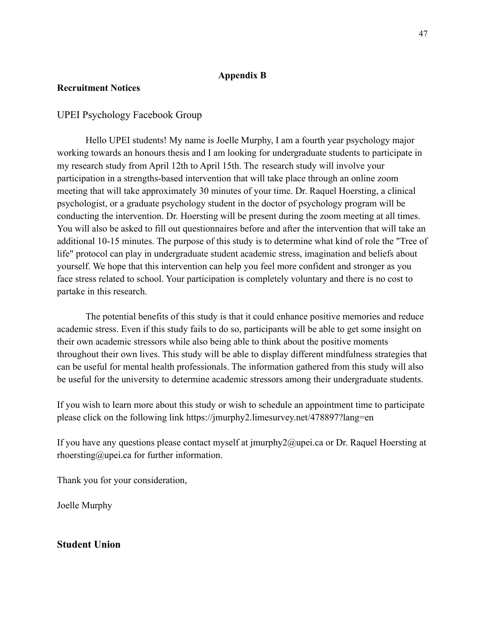### **Appendix B**

## **Recruitment Notices**

## UPEI Psychology Facebook Group

Hello UPEI students! My name is Joelle Murphy, I am a fourth year psychology major working towards an honours thesis and I am looking for undergraduate students to participate in my research study from April 12th to April 15th. The research study will involve your participation in a strengths-based intervention that will take place through an online zoom meeting that will take approximately 30 minutes of your time. Dr. Raquel Hoersting, a clinical psychologist, or a graduate psychology student in the doctor of psychology program will be conducting the intervention. Dr. Hoersting will be present during the zoom meeting at all times. You will also be asked to fill out questionnaires before and after the intervention that will take an additional 10-15 minutes. The purpose of this study is to determine what kind of role the "Tree of life" protocol can play in undergraduate student academic stress, imagination and beliefs about yourself. We hope that this intervention can help you feel more confident and stronger as you face stress related to school. Your participation is completely voluntary and there is no cost to partake in this research.

The potential benefits of this study is that it could enhance positive memories and reduce academic stress. Even if this study fails to do so, participants will be able to get some insight on their own academic stressors while also being able to think about the positive moments throughout their own lives. This study will be able to display different mindfulness strategies that can be useful for mental health professionals. The information gathered from this study will also be useful for the university to determine academic stressors among their undergraduate students.

If you wish to learn more about this study or wish to schedule an appointment time to participate please click on the following link https://jmurphy2.limesurvey.net/478897?lang=en

If you have any questions please contact myself at jmurphy2@upei.ca or Dr. Raquel Hoersting at rhoersting@upei.ca for further information.

Thank you for your consideration,

Joelle Murphy

## **Student Union**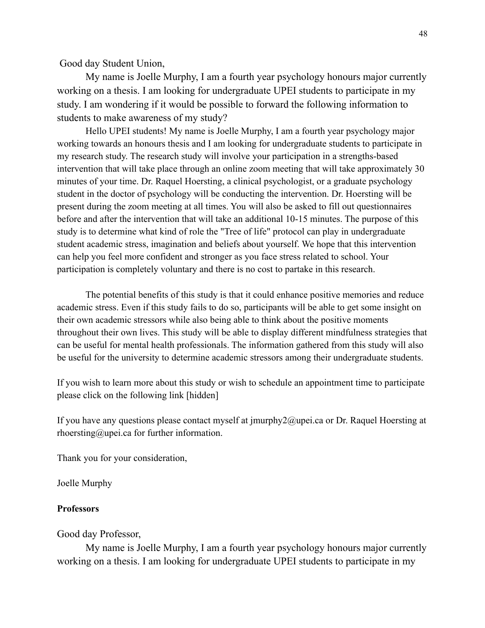Good day Student Union,

My name is Joelle Murphy, I am a fourth year psychology honours major currently working on a thesis. I am looking for undergraduate UPEI students to participate in my study. I am wondering if it would be possible to forward the following information to students to make awareness of my study?

Hello UPEI students! My name is Joelle Murphy, I am a fourth year psychology major working towards an honours thesis and I am looking for undergraduate students to participate in my research study. The research study will involve your participation in a strengths-based intervention that will take place through an online zoom meeting that will take approximately 30 minutes of your time. Dr. Raquel Hoersting, a clinical psychologist, or a graduate psychology student in the doctor of psychology will be conducting the intervention. Dr. Hoersting will be present during the zoom meeting at all times. You will also be asked to fill out questionnaires before and after the intervention that will take an additional 10-15 minutes. The purpose of this study is to determine what kind of role the "Tree of life" protocol can play in undergraduate student academic stress, imagination and beliefs about yourself. We hope that this intervention can help you feel more confident and stronger as you face stress related to school. Your participation is completely voluntary and there is no cost to partake in this research.

The potential benefits of this study is that it could enhance positive memories and reduce academic stress. Even if this study fails to do so, participants will be able to get some insight on their own academic stressors while also being able to think about the positive moments throughout their own lives. This study will be able to display different mindfulness strategies that can be useful for mental health professionals. The information gathered from this study will also be useful for the university to determine academic stressors among their undergraduate students.

If you wish to learn more about this study or wish to schedule an appointment time to participate please click on the following link [hidden]

If you have any questions please contact myself at jmurphy2@upei.ca or Dr. Raquel Hoersting at rhoersting@upei.ca for further information.

Thank you for your consideration,

Joelle Murphy

#### **Professors**

#### Good day Professor,

My name is Joelle Murphy, I am a fourth year psychology honours major currently working on a thesis. I am looking for undergraduate UPEI students to participate in my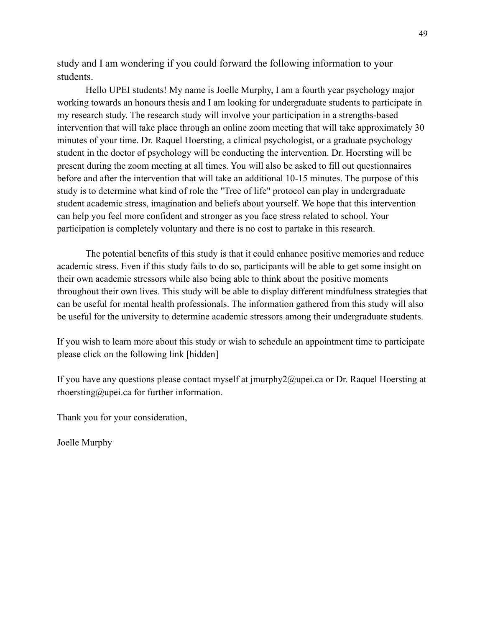study and I am wondering if you could forward the following information to your students.

Hello UPEI students! My name is Joelle Murphy, I am a fourth year psychology major working towards an honours thesis and I am looking for undergraduate students to participate in my research study. The research study will involve your participation in a strengths-based intervention that will take place through an online zoom meeting that will take approximately 30 minutes of your time. Dr. Raquel Hoersting, a clinical psychologist, or a graduate psychology student in the doctor of psychology will be conducting the intervention. Dr. Hoersting will be present during the zoom meeting at all times. You will also be asked to fill out questionnaires before and after the intervention that will take an additional 10-15 minutes. The purpose of this study is to determine what kind of role the "Tree of life" protocol can play in undergraduate student academic stress, imagination and beliefs about yourself. We hope that this intervention can help you feel more confident and stronger as you face stress related to school. Your participation is completely voluntary and there is no cost to partake in this research.

The potential benefits of this study is that it could enhance positive memories and reduce academic stress. Even if this study fails to do so, participants will be able to get some insight on their own academic stressors while also being able to think about the positive moments throughout their own lives. This study will be able to display different mindfulness strategies that can be useful for mental health professionals. The information gathered from this study will also be useful for the university to determine academic stressors among their undergraduate students.

If you wish to learn more about this study or wish to schedule an appointment time to participate please click on the following link [hidden]

If you have any questions please contact myself at jmurphy2@upei.ca or Dr. Raquel Hoersting at rhoersting@upei.ca for further information.

Thank you for your consideration,

Joelle Murphy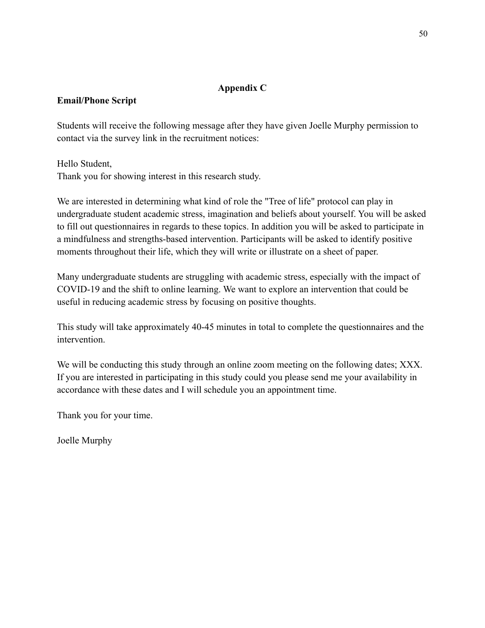## **Appendix C**

## **Email/Phone Script**

Students will receive the following message after they have given Joelle Murphy permission to contact via the survey link in the recruitment notices:

Hello Student, Thank you for showing interest in this research study.

We are interested in determining what kind of role the "Tree of life" protocol can play in undergraduate student academic stress, imagination and beliefs about yourself. You will be asked to fill out questionnaires in regards to these topics. In addition you will be asked to participate in a mindfulness and strengths-based intervention. Participants will be asked to identify positive moments throughout their life, which they will write or illustrate on a sheet of paper.

Many undergraduate students are struggling with academic stress, especially with the impact of COVID-19 and the shift to online learning. We want to explore an intervention that could be useful in reducing academic stress by focusing on positive thoughts.

This study will take approximately 40-45 minutes in total to complete the questionnaires and the intervention.

We will be conducting this study through an online zoom meeting on the following dates; XXX. If you are interested in participating in this study could you please send me your availability in accordance with these dates and I will schedule you an appointment time.

Thank you for your time.

Joelle Murphy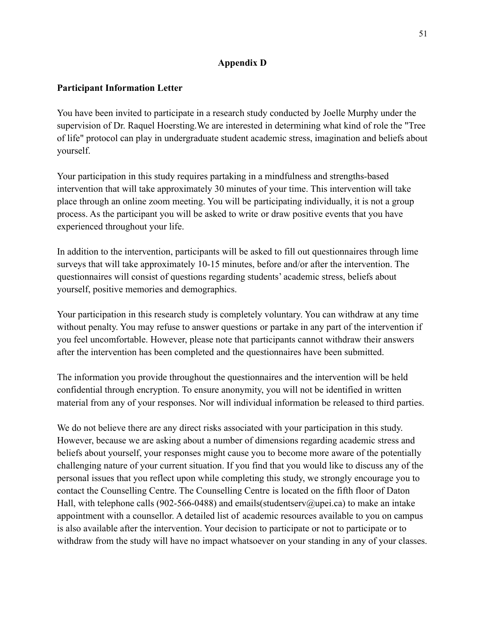## **Appendix D**

## **Participant Information Letter**

You have been invited to participate in a research study conducted by Joelle Murphy under the supervision of Dr. Raquel Hoersting.We are interested in determining what kind of role the "Tree of life" protocol can play in undergraduate student academic stress, imagination and beliefs about yourself.

Your participation in this study requires partaking in a mindfulness and strengths-based intervention that will take approximately 30 minutes of your time. This intervention will take place through an online zoom meeting. You will be participating individually, it is not a group process. As the participant you will be asked to write or draw positive events that you have experienced throughout your life.

In addition to the intervention, participants will be asked to fill out questionnaires through lime surveys that will take approximately 10-15 minutes, before and/or after the intervention. The questionnaires will consist of questions regarding students' academic stress, beliefs about yourself, positive memories and demographics.

Your participation in this research study is completely voluntary. You can withdraw at any time without penalty. You may refuse to answer questions or partake in any part of the intervention if you feel uncomfortable. However, please note that participants cannot withdraw their answers after the intervention has been completed and the questionnaires have been submitted.

The information you provide throughout the questionnaires and the intervention will be held confidential through encryption. To ensure anonymity, you will not be identified in written material from any of your responses. Nor will individual information be released to third parties.

We do not believe there are any direct risks associated with your participation in this study. However, because we are asking about a number of dimensions regarding academic stress and beliefs about yourself, your responses might cause you to become more aware of the potentially challenging nature of your current situation. If you find that you would like to discuss any of the personal issues that you reflect upon while completing this study, we strongly encourage you to contact the Counselling Centre. The Counselling Centre is located on the fifth floor of Daton Hall, with telephone calls (902-566-0488) and emails(studentserv@upei.ca) to make an intake appointment with a counsellor. A detailed list of academic resources available to you on campus is also available after the intervention. Your decision to participate or not to participate or to withdraw from the study will have no impact whatsoever on your standing in any of your classes.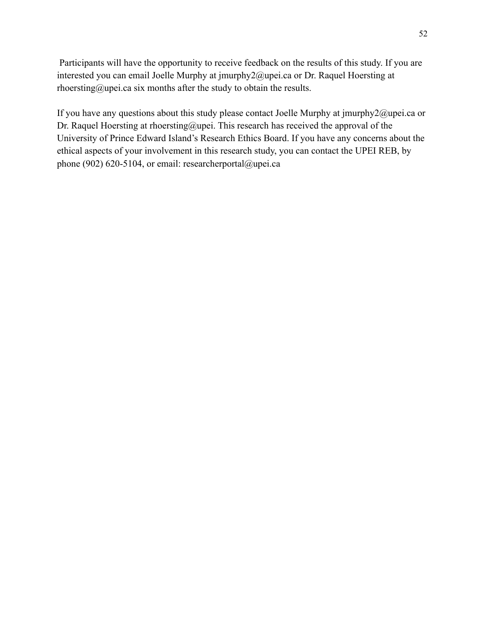Participants will have the opportunity to receive feedback on the results of this study. If you are interested you can email Joelle Murphy at jmurphy2@upei.ca or Dr. Raquel Hoersting at rhoersting@upei.ca six months after the study to obtain the results.

If you have any questions about this study please contact Joelle Murphy at jmurphy2@upei.ca or Dr. Raquel Hoersting at rhoersting@upei. This research has received the approval of the University of Prince Edward Island's Research Ethics Board. If you have any concerns about the ethical aspects of your involvement in this research study, you can contact the UPEI REB, by phone (902) 620-5104, or email: researcherportal@upei.ca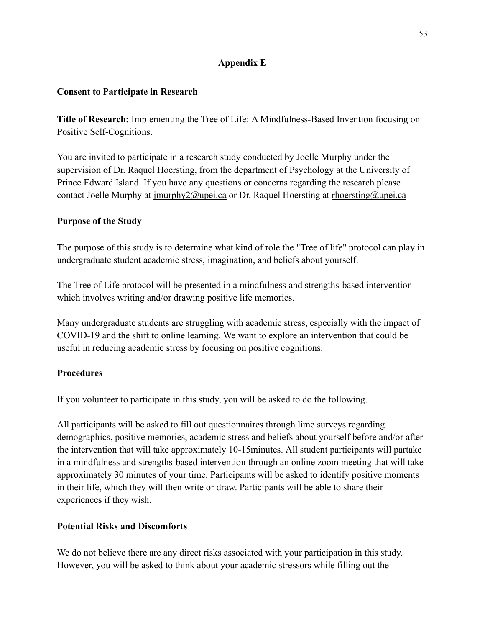## **Appendix E**

## **Consent to Participate in Research**

**Title of Research:** Implementing the Tree of Life: A Mindfulness-Based Invention focusing on Positive Self-Cognitions.

You are invited to participate in a research study conducted by Joelle Murphy under the supervision of Dr. Raquel Hoersting, from the department of Psychology at the University of Prince Edward Island. If you have any questions or concerns regarding the research please contact Joelle Murphy at [jmurphy2@upei.ca](mailto:jmurphy2@upei.ca) or Dr. Raquel Hoersting at [rhoersting@upei.ca](mailto:rhoersting@upei.ca)

## **Purpose of the Study**

The purpose of this study is to determine what kind of role the "Tree of life" protocol can play in undergraduate student academic stress, imagination, and beliefs about yourself.

The Tree of Life protocol will be presented in a mindfulness and strengths-based intervention which involves writing and/or drawing positive life memories.

Many undergraduate students are struggling with academic stress, especially with the impact of COVID-19 and the shift to online learning. We want to explore an intervention that could be useful in reducing academic stress by focusing on positive cognitions.

# **Procedures**

If you volunteer to participate in this study, you will be asked to do the following.

All participants will be asked to fill out questionnaires through lime surveys regarding demographics, positive memories, academic stress and beliefs about yourself before and/or after the intervention that will take approximately 10-15minutes. All student participants will partake in a mindfulness and strengths-based intervention through an online zoom meeting that will take approximately 30 minutes of your time. Participants will be asked to identify positive moments in their life, which they will then write or draw. Participants will be able to share their experiences if they wish.

# **Potential Risks and Discomforts**

We do not believe there are any direct risks associated with your participation in this study. However, you will be asked to think about your academic stressors while filling out the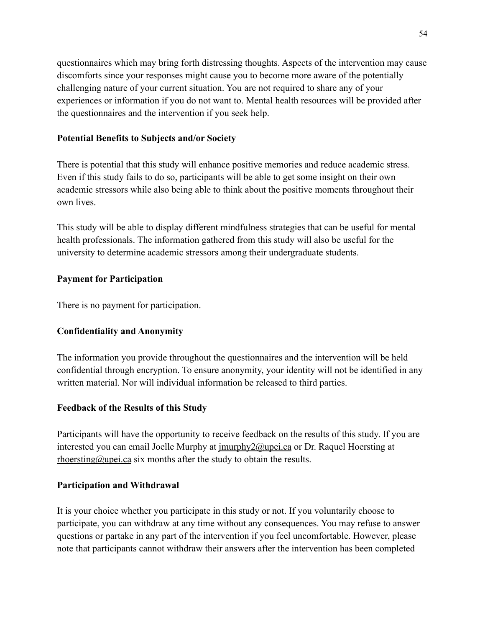questionnaires which may bring forth distressing thoughts. Aspects of the intervention may cause discomforts since your responses might cause you to become more aware of the potentially challenging nature of your current situation. You are not required to share any of your experiences or information if you do not want to. Mental health resources will be provided after the questionnaires and the intervention if you seek help.

## **Potential Benefits to Subjects and/or Society**

There is potential that this study will enhance positive memories and reduce academic stress. Even if this study fails to do so, participants will be able to get some insight on their own academic stressors while also being able to think about the positive moments throughout their own lives.

This study will be able to display different mindfulness strategies that can be useful for mental health professionals. The information gathered from this study will also be useful for the university to determine academic stressors among their undergraduate students.

## **Payment for Participation**

There is no payment for participation.

## **Confidentiality and Anonymity**

The information you provide throughout the questionnaires and the intervention will be held confidential through encryption. To ensure anonymity, your identity will not be identified in any written material. Nor will individual information be released to third parties.

## **Feedback of the Results of this Study**

Participants will have the opportunity to receive feedback on the results of this study. If you are interested you can email Joelle Murphy at [jmurphy2@upei.ca](mailto:jmurphy2@upei.ca) or Dr. Raquel Hoersting at [rhoersting@upei.ca](mailto:rhoersting@upei.ca) six months after the study to obtain the results.

## **Participation and Withdrawal**

It is your choice whether you participate in this study or not. If you voluntarily choose to participate, you can withdraw at any time without any consequences. You may refuse to answer questions or partake in any part of the intervention if you feel uncomfortable. However, please note that participants cannot withdraw their answers after the intervention has been completed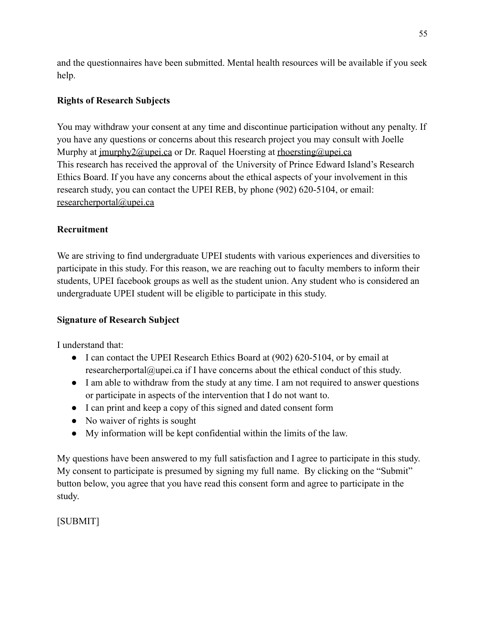and the questionnaires have been submitted. Mental health resources will be available if you seek help.

# **Rights of Research Subjects**

You may withdraw your consent at any time and discontinue participation without any penalty. If you have any questions or concerns about this research project you may consult with Joelle Murphy at <u>imurphy2@upei.ca</u> or Dr. Raquel Hoersting at [rhoersting@upei.ca](mailto:rhoersting@upei.ca) This research has received the approval of the University of Prince Edward Island's Research Ethics Board. If you have any concerns about the ethical aspects of your involvement in this research study, you can contact the UPEI REB, by phone (902) 620-5104, or email: [researcherportal@upei.ca](mailto:researcherportal@upei.ca)

# **Recruitment**

We are striving to find undergraduate UPEI students with various experiences and diversities to participate in this study. For this reason, we are reaching out to faculty members to inform their students, UPEI facebook groups as well as the student union. Any student who is considered an undergraduate UPEI student will be eligible to participate in this study.

# **Signature of Research Subject**

I understand that:

- I can contact the UPEI Research Ethics Board at (902) 620-5104, or by email at researcherportal@upei.ca if I have concerns about the ethical conduct of this study.
- I am able to withdraw from the study at any time. I am not required to answer questions or participate in aspects of the intervention that I do not want to.
- I can print and keep a copy of this signed and dated consent form
- No waiver of rights is sought
- My information will be kept confidential within the limits of the law.

My questions have been answered to my full satisfaction and I agree to participate in this study. My consent to participate is presumed by signing my full name. By clicking on the "Submit" button below, you agree that you have read this consent form and agree to participate in the study.

[SUBMIT]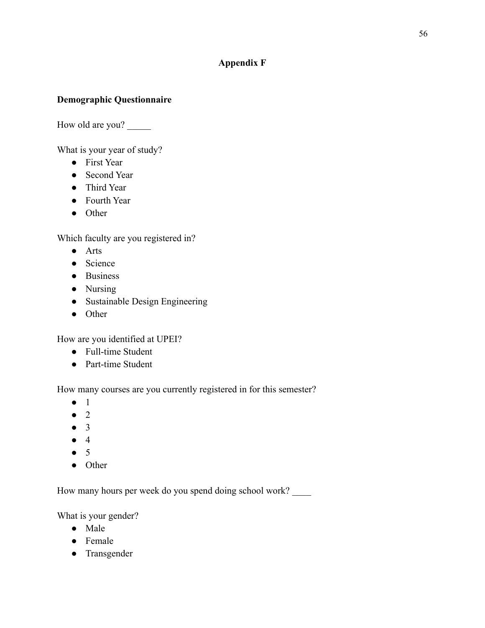## **Appendix F**

## **Demographic Questionnaire**

How old are you?

What is your year of study?

- First Year
- Second Year
- Third Year
- Fourth Year
- Other

Which faculty are you registered in?

- Arts
- Science
- Business
- Nursing
- Sustainable Design Engineering
- Other

How are you identified at UPEI?

- Full-time Student
- Part-time Student

How many courses are you currently registered in for this semester?

- 1
- $\bullet$  2
- 3
- $4$
- $5$
- Other

How many hours per week do you spend doing school work?

What is your gender?

- Male
- Female
- Transgender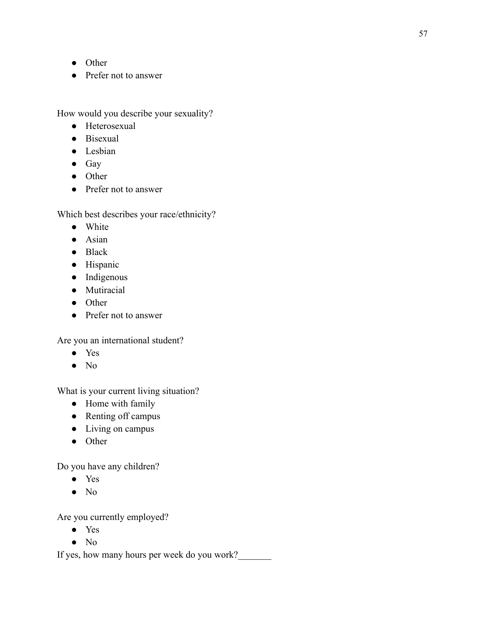- Other
- Prefer not to answer

How would you describe your sexuality?

- Heterosexual
- Bisexual
- Lesbian
- Gay
- Other
- Prefer not to answer

Which best describes your race/ethnicity?

- White
- Asian
- Black
- Hispanic
- Indigenous
- Mutiracial
- Other
- Prefer not to answer

Are you an international student?

- Yes
- No

What is your current living situation?

- Home with family
- Renting off campus
- Living on campus
- Other

Do you have any children?

- Yes
- No

Are you currently employed?

- Yes
- No

If yes, how many hours per week do you work?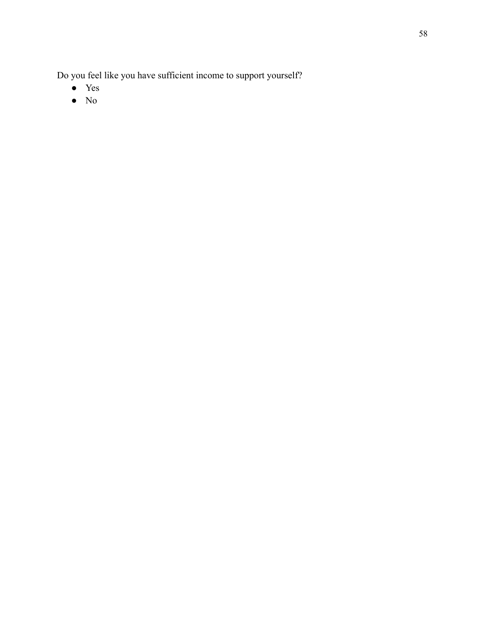Do you feel like you have sufficient income to support yourself?

- Yes
- No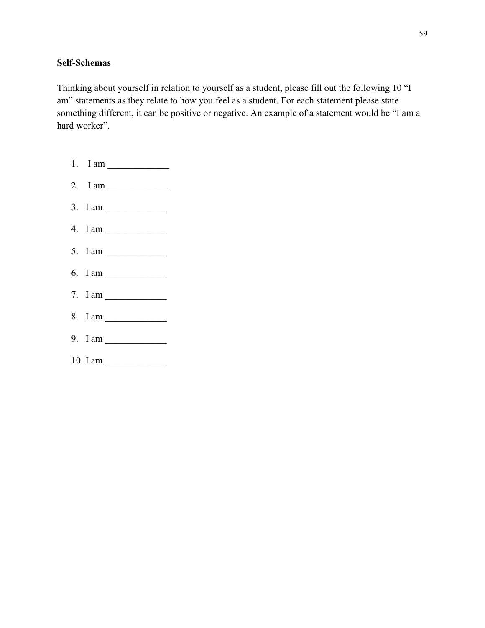## **Self-Schemas**

Thinking about yourself in relation to yourself as a student, please fill out the following 10 "I am" statements as they relate to how you feel as a student. For each statement please state something different, it can be positive or negative. An example of a statement would be "I am a hard worker".

1. I am \_\_\_\_\_\_\_\_\_\_\_\_\_ 2. I am  $\frac{2}{\sqrt{2\pi}}$ 3. I am  $\frac{1}{2}$ 4. I am \_\_\_\_\_\_\_\_\_\_\_\_\_ 5. I am  $\frac{1}{2}$ 6. I am \_\_\_\_\_\_\_\_\_\_\_\_\_ 7. I am  $\frac{2}{\sqrt{2}}$ 8. I am \_\_\_\_\_\_\_\_\_\_\_\_\_ 9. I am  $\frac{1}{2}$ 10. I am \_\_\_\_\_\_\_\_\_\_\_\_\_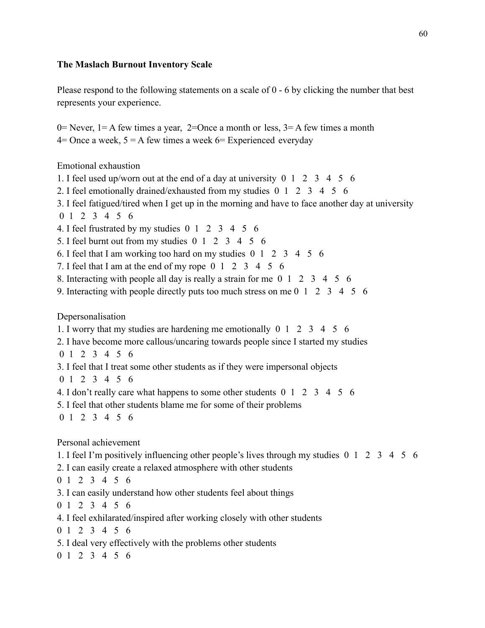## **The Maslach Burnout Inventory Scale**

Please respond to the following statements on a scale of 0 - 6 by clicking the number that best represents your experience.

0= Never, 1 = A few times a year, 2=0nce a month or less,  $3=$  A few times a month  $4=$  Once a week,  $5 = A$  few times a week  $6=$  Experienced everyday

Emotional exhaustion

- 1. I feel used up/worn out at the end of a day at university 0 1 2 3 4 5 6
- 2. I feel emotionally drained/exhausted from my studies 0 1 2 3 4 5 6
- 3. I feel fatigued/tired when I get up in the morning and have to face another day at university

$$
0 \ 1 \ 2 \ 3 \ 4 \ 5 \ 6
$$

- 4. I feel frustrated by my studies 0 1 2 3 4 5 6
- 5. I feel burnt out from my studies 0 1 2 3 4 5 6
- 6. I feel that I am working too hard on my studies 0 1 2 3 4 5 6
- 7. I feel that I am at the end of my rope 0 1 2 3 4 5 6
- 8. Interacting with people all day is really a strain for me 0 1 2 3 4 5 6
- 9. Interacting with people directly puts too much stress on me 0 1 2 3 4 5 6

Depersonalisation

- 1. I worry that my studies are hardening me emotionally 0 1 2 3 4 5 6
- 2. I have become more callous/uncaring towards people since I started my studies
- 0 1 2 3 4 5 6
- 3. I feel that I treat some other students as if they were impersonal objects
- 0 1 2 3 4 5 6
- 4. I don't really care what happens to some other students 0 1 2 3 4 5 6
- 5. I feel that other students blame me for some of their problems
- 0 1 2 3 4 5 6

Personal achievement

- 1. I feel I'm positively influencing other people's lives through my studies 0 1 2 3 4 5 6
- 2. I can easily create a relaxed atmosphere with other students
- 0 1 2 3 4 5 6
- 3. I can easily understand how other students feel about things
- 0 1 2 3 4 5 6
- 4. I feel exhilarated/inspired after working closely with other students
- 0 1 2 3 4 5 6
- 5. I deal very effectively with the problems other students
- 0 1 2 3 4 5 6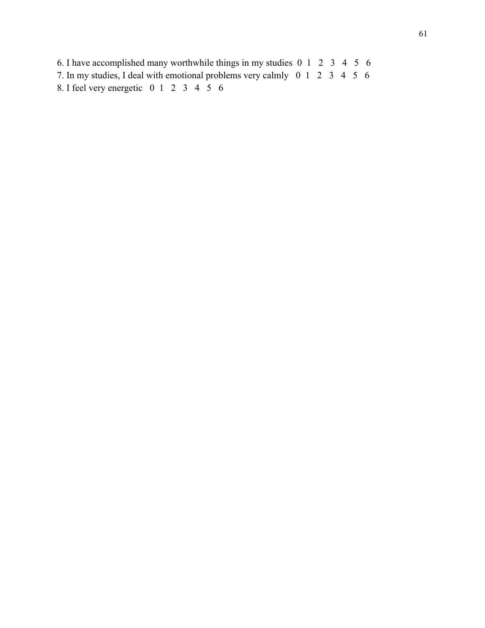6. I have accomplished many worthwhile things in my studies 0 1 2 3 4 5 6 7. In my studies, I deal with emotional problems very calmly 0 1 2 3 4 5 6 8. I feel very energetic 0 1 2 3 4 5 6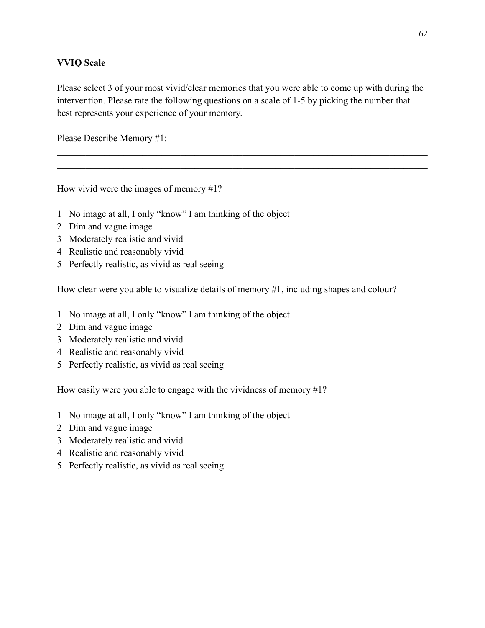## **VVIQ Scale**

Please select 3 of your most vivid/clear memories that you were able to come up with during the intervention. Please rate the following questions on a scale of 1-5 by picking the number that best represents your experience of your memory.

 $\mathcal{L}_\mathcal{L} = \{ \mathcal{L}_\mathcal{L} = \{ \mathcal{L}_\mathcal{L} = \{ \mathcal{L}_\mathcal{L} = \{ \mathcal{L}_\mathcal{L} = \{ \mathcal{L}_\mathcal{L} = \{ \mathcal{L}_\mathcal{L} = \{ \mathcal{L}_\mathcal{L} = \{ \mathcal{L}_\mathcal{L} = \{ \mathcal{L}_\mathcal{L} = \{ \mathcal{L}_\mathcal{L} = \{ \mathcal{L}_\mathcal{L} = \{ \mathcal{L}_\mathcal{L} = \{ \mathcal{L}_\mathcal{L} = \{ \mathcal{L}_\mathcal{$  $\mathcal{L}_\mathcal{L} = \{ \mathcal{L}_\mathcal{L} = \{ \mathcal{L}_\mathcal{L} = \{ \mathcal{L}_\mathcal{L} = \{ \mathcal{L}_\mathcal{L} = \{ \mathcal{L}_\mathcal{L} = \{ \mathcal{L}_\mathcal{L} = \{ \mathcal{L}_\mathcal{L} = \{ \mathcal{L}_\mathcal{L} = \{ \mathcal{L}_\mathcal{L} = \{ \mathcal{L}_\mathcal{L} = \{ \mathcal{L}_\mathcal{L} = \{ \mathcal{L}_\mathcal{L} = \{ \mathcal{L}_\mathcal{L} = \{ \mathcal{L}_\mathcal{$ 

Please Describe Memory #1:

How vivid were the images of memory #1?

- 1 No image at all, I only "know" I am thinking of the object
- 2 Dim and vague image
- 3 Moderately realistic and vivid
- 4 Realistic and reasonably vivid
- 5 Perfectly realistic, as vivid as real seeing

How clear were you able to visualize details of memory #1, including shapes and colour?

- 1 No image at all, I only "know" I am thinking of the object
- 2 Dim and vague image
- 3 Moderately realistic and vivid
- 4 Realistic and reasonably vivid
- 5 Perfectly realistic, as vivid as real seeing

How easily were you able to engage with the vividness of memory #1?

- 1 No image at all, I only "know" I am thinking of the object
- 2 Dim and vague image
- 3 Moderately realistic and vivid
- 4 Realistic and reasonably vivid
- 5 Perfectly realistic, as vivid as real seeing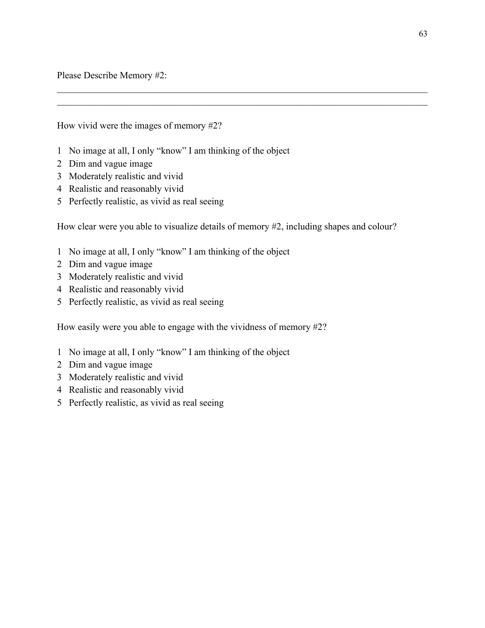Please Describe Memory #2:

How vivid were the images of memory #2?

- 1 No image at all, I only "know" I am thinking of the object
- 2 Dim and vague image
- 3 Moderately realistic and vivid
- 4 Realistic and reasonably vivid
- 5 Perfectly realistic, as vivid as real seeing

How clear were you able to visualize details of memory #2, including shapes and colour?

 $\mathcal{L}_\mathcal{L} = \{ \mathcal{L}_\mathcal{L} = \{ \mathcal{L}_\mathcal{L} = \{ \mathcal{L}_\mathcal{L} = \{ \mathcal{L}_\mathcal{L} = \{ \mathcal{L}_\mathcal{L} = \{ \mathcal{L}_\mathcal{L} = \{ \mathcal{L}_\mathcal{L} = \{ \mathcal{L}_\mathcal{L} = \{ \mathcal{L}_\mathcal{L} = \{ \mathcal{L}_\mathcal{L} = \{ \mathcal{L}_\mathcal{L} = \{ \mathcal{L}_\mathcal{L} = \{ \mathcal{L}_\mathcal{L} = \{ \mathcal{L}_\mathcal{$  $\mathcal{L}_\mathcal{L} = \{ \mathcal{L}_\mathcal{L} = \{ \mathcal{L}_\mathcal{L} = \{ \mathcal{L}_\mathcal{L} = \{ \mathcal{L}_\mathcal{L} = \{ \mathcal{L}_\mathcal{L} = \{ \mathcal{L}_\mathcal{L} = \{ \mathcal{L}_\mathcal{L} = \{ \mathcal{L}_\mathcal{L} = \{ \mathcal{L}_\mathcal{L} = \{ \mathcal{L}_\mathcal{L} = \{ \mathcal{L}_\mathcal{L} = \{ \mathcal{L}_\mathcal{L} = \{ \mathcal{L}_\mathcal{L} = \{ \mathcal{L}_\mathcal{$ 

- 1 No image at all, I only "know" I am thinking of the object
- 2 Dim and vague image
- 3 Moderately realistic and vivid
- 4 Realistic and reasonably vivid
- 5 Perfectly realistic, as vivid as real seeing

How easily were you able to engage with the vividness of memory #2?

- 1 No image at all, I only "know" I am thinking of the object
- 2 Dim and vague image
- 3 Moderately realistic and vivid
- 4 Realistic and reasonably vivid
- 5 Perfectly realistic, as vivid as real seeing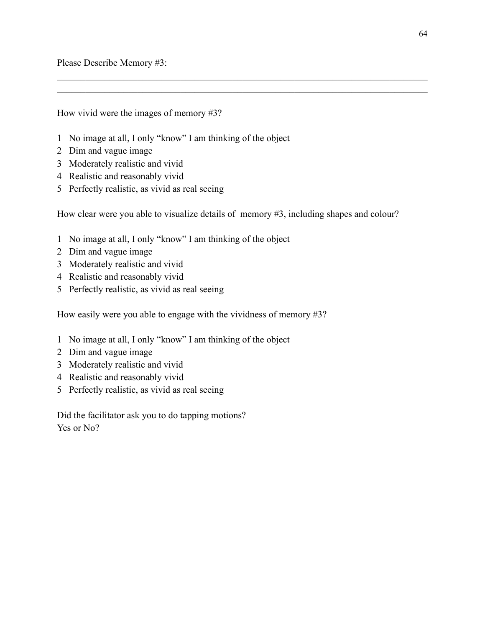Please Describe Memory #3:

How vivid were the images of memory #3?

- 1 No image at all, I only "know" I am thinking of the object
- 2 Dim and vague image
- 3 Moderately realistic and vivid
- 4 Realistic and reasonably vivid
- 5 Perfectly realistic, as vivid as real seeing

How clear were you able to visualize details of memory #3, including shapes and colour?

 $\mathcal{L}_\mathcal{L} = \{ \mathcal{L}_\mathcal{L} = \{ \mathcal{L}_\mathcal{L} = \{ \mathcal{L}_\mathcal{L} = \{ \mathcal{L}_\mathcal{L} = \{ \mathcal{L}_\mathcal{L} = \{ \mathcal{L}_\mathcal{L} = \{ \mathcal{L}_\mathcal{L} = \{ \mathcal{L}_\mathcal{L} = \{ \mathcal{L}_\mathcal{L} = \{ \mathcal{L}_\mathcal{L} = \{ \mathcal{L}_\mathcal{L} = \{ \mathcal{L}_\mathcal{L} = \{ \mathcal{L}_\mathcal{L} = \{ \mathcal{L}_\mathcal{$  $\mathcal{L}_\mathcal{L} = \{ \mathcal{L}_\mathcal{L} = \{ \mathcal{L}_\mathcal{L} = \{ \mathcal{L}_\mathcal{L} = \{ \mathcal{L}_\mathcal{L} = \{ \mathcal{L}_\mathcal{L} = \{ \mathcal{L}_\mathcal{L} = \{ \mathcal{L}_\mathcal{L} = \{ \mathcal{L}_\mathcal{L} = \{ \mathcal{L}_\mathcal{L} = \{ \mathcal{L}_\mathcal{L} = \{ \mathcal{L}_\mathcal{L} = \{ \mathcal{L}_\mathcal{L} = \{ \mathcal{L}_\mathcal{L} = \{ \mathcal{L}_\mathcal{$ 

- 1 No image at all, I only "know" I am thinking of the object
- 2 Dim and vague image
- 3 Moderately realistic and vivid
- 4 Realistic and reasonably vivid
- 5 Perfectly realistic, as vivid as real seeing

How easily were you able to engage with the vividness of memory #3?

- 1 No image at all, I only "know" I am thinking of the object
- 2 Dim and vague image
- 3 Moderately realistic and vivid
- 4 Realistic and reasonably vivid
- 5 Perfectly realistic, as vivid as real seeing

Did the facilitator ask you to do tapping motions? Yes or No?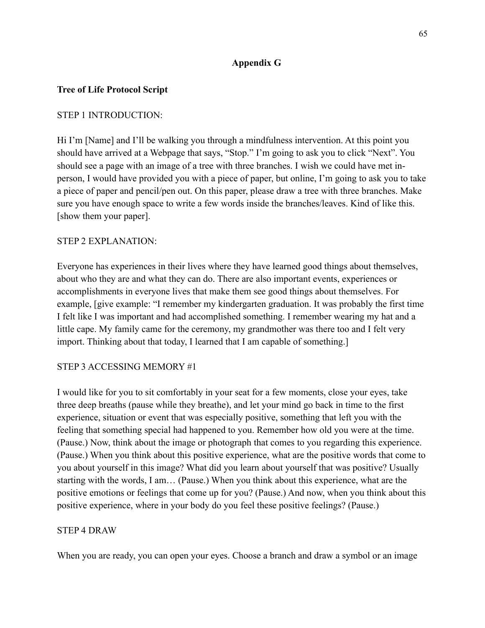## **Appendix G**

## **Tree of Life Protocol Script**

## STEP 1 INTRODUCTION:

Hi I'm [Name] and I'll be walking you through a mindfulness intervention. At this point you should have arrived at a Webpage that says, "Stop." I'm going to ask you to click "Next". You should see a page with an image of a tree with three branches. I wish we could have met inperson, I would have provided you with a piece of paper, but online, I'm going to ask you to take a piece of paper and pencil/pen out. On this paper, please draw a tree with three branches. Make sure you have enough space to write a few words inside the branches/leaves. Kind of like this. [show them your paper].

### STEP 2 EXPLANATION:

Everyone has experiences in their lives where they have learned good things about themselves, about who they are and what they can do. There are also important events, experiences or accomplishments in everyone lives that make them see good things about themselves. For example, [give example: "I remember my kindergarten graduation. It was probably the first time I felt like I was important and had accomplished something. I remember wearing my hat and a little cape. My family came for the ceremony, my grandmother was there too and I felt very import. Thinking about that today, I learned that I am capable of something.]

### STEP 3 ACCESSING MEMORY #1

I would like for you to sit comfortably in your seat for a few moments, close your eyes, take three deep breaths (pause while they breathe), and let your mind go back in time to the first experience, situation or event that was especially positive, something that left you with the feeling that something special had happened to you. Remember how old you were at the time. (Pause.) Now, think about the image or photograph that comes to you regarding this experience. (Pause.) When you think about this positive experience, what are the positive words that come to you about yourself in this image? What did you learn about yourself that was positive? Usually starting with the words, I am… (Pause.) When you think about this experience, what are the positive emotions or feelings that come up for you? (Pause.) And now, when you think about this positive experience, where in your body do you feel these positive feelings? (Pause.)

#### STEP 4 DRAW

When you are ready, you can open your eyes. Choose a branch and draw a symbol or an image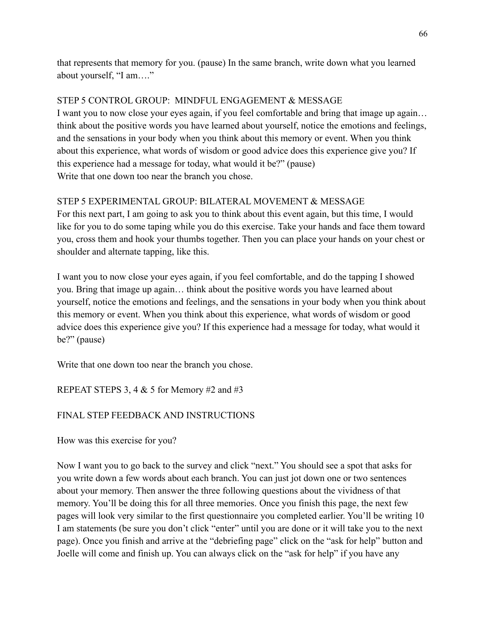that represents that memory for you. (pause) In the same branch, write down what you learned about yourself, "I am…."

# STEP 5 CONTROL GROUP: MINDFUL ENGAGEMENT & MESSAGE

I want you to now close your eyes again, if you feel comfortable and bring that image up again… think about the positive words you have learned about yourself, notice the emotions and feelings, and the sensations in your body when you think about this memory or event. When you think about this experience, what words of wisdom or good advice does this experience give you? If this experience had a message for today, what would it be?" (pause) Write that one down too near the branch you chose.

# STEP 5 EXPERIMENTAL GROUP: BILATERAL MOVEMENT & MESSAGE

For this next part, I am going to ask you to think about this event again, but this time, I would like for you to do some taping while you do this exercise. Take your hands and face them toward you, cross them and hook your thumbs together. Then you can place your hands on your chest or shoulder and alternate tapping, like this.

I want you to now close your eyes again, if you feel comfortable, and do the tapping I showed you. Bring that image up again… think about the positive words you have learned about yourself, notice the emotions and feelings, and the sensations in your body when you think about this memory or event. When you think about this experience, what words of wisdom or good advice does this experience give you? If this experience had a message for today, what would it be?" (pause)

Write that one down too near the branch you chose.

REPEAT STEPS 3, 4  $& 5$  for Memory #2 and #3

# FINAL STEP FEEDBACK AND INSTRUCTIONS

How was this exercise for you?

Now I want you to go back to the survey and click "next." You should see a spot that asks for you write down a few words about each branch. You can just jot down one or two sentences about your memory. Then answer the three following questions about the vividness of that memory. You'll be doing this for all three memories. Once you finish this page, the next few pages will look very similar to the first questionnaire you completed earlier. You'll be writing 10 I am statements (be sure you don't click "enter" until you are done or it will take you to the next page). Once you finish and arrive at the "debriefing page" click on the "ask for help" button and Joelle will come and finish up. You can always click on the "ask for help" if you have any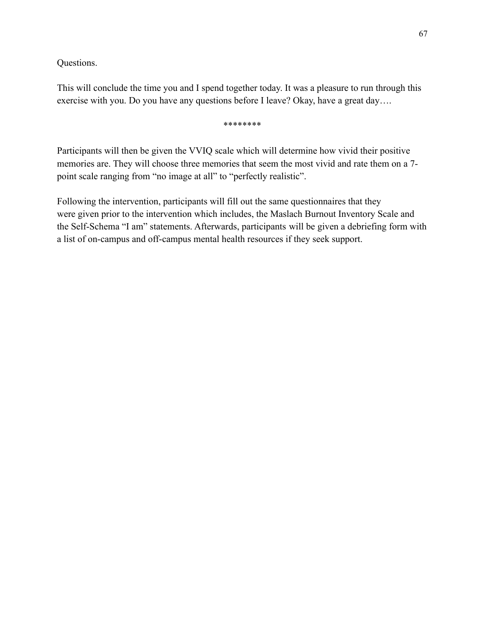Questions.

This will conclude the time you and I spend together today. It was a pleasure to run through this exercise with you. Do you have any questions before I leave? Okay, have a great day….

\*\*\*\*\*\*\*\*

Participants will then be given the VVIQ scale which will determine how vivid their positive memories are. They will choose three memories that seem the most vivid and rate them on a 7 point scale ranging from "no image at all" to "perfectly realistic".

Following the intervention, participants will fill out the same questionnaires that they were given prior to the intervention which includes, the Maslach Burnout Inventory Scale and the Self-Schema "I am" statements. Afterwards, participants will be given a debriefing form with a list of on-campus and off-campus mental health resources if they seek support.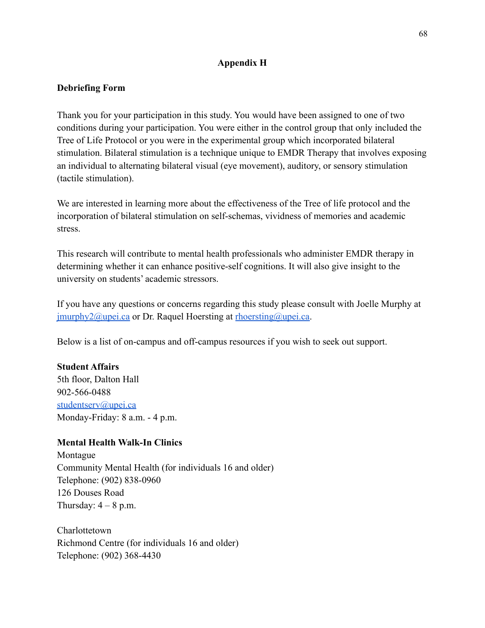## **Appendix H**

## **Debriefing Form**

Thank you for your participation in this study. You would have been assigned to one of two conditions during your participation. You were either in the control group that only included the Tree of Life Protocol or you were in the experimental group which incorporated bilateral stimulation. Bilateral stimulation is a technique unique to EMDR Therapy that involves exposing an individual to alternating bilateral visual (eye movement), auditory, or sensory stimulation (tactile stimulation).

We are interested in learning more about the effectiveness of the Tree of life protocol and the incorporation of bilateral stimulation on self-schemas, vividness of memories and academic stress.

This research will contribute to mental health professionals who administer EMDR therapy in determining whether it can enhance positive-self cognitions. It will also give insight to the university on students' academic stressors.

If you have any questions or concerns regarding this study please consult with Joelle Murphy at  $j$ <u>murphy2@upei.ca</u> or Dr. Raquel Hoersting at  $\frac{r}{2}$  hoersting and  $\frac{r}{2}$ .

Below is a list of on-campus and off-campus resources if you wish to seek out support.

## **Student Affairs**

5th floor, Dalton Hall 902-566-0488 [studentserv@upei.ca](mailto:studentserv@upei.ca) Monday-Friday: 8 a.m. - 4 p.m.

## **Mental Health Walk-In Clinics**

Montague Community Mental Health (for individuals 16 and older) Telephone: (902) 838-0960 126 Douses Road Thursday:  $4 - 8$  p.m.

**Charlottetown** Richmond Centre (for individuals 16 and older) Telephone: (902) 368-4430